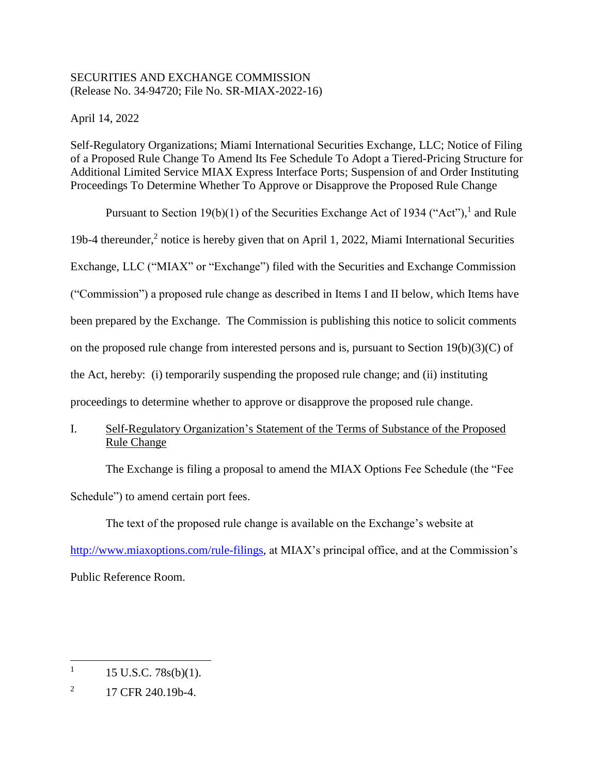# SECURITIES AND EXCHANGE COMMISSION (Release No. 34-94720; File No. SR-MIAX-2022-16)

April 14, 2022

Self-Regulatory Organizations; Miami International Securities Exchange, LLC; Notice of Filing of a Proposed Rule Change To Amend Its Fee Schedule To Adopt a Tiered-Pricing Structure for Additional Limited Service MIAX Express Interface Ports; Suspension of and Order Instituting Proceedings To Determine Whether To Approve or Disapprove the Proposed Rule Change

Pursuant to Section 19(b)(1) of the Securities Exchange Act of 1934 ("Act"), and Rule 19b-4 thereunder,<sup>2</sup> notice is hereby given that on April 1, 2022, Miami International Securities Exchange, LLC ("MIAX" or "Exchange") filed with the Securities and Exchange Commission ("Commission") a proposed rule change as described in Items I and II below, which Items have been prepared by the Exchange. The Commission is publishing this notice to solicit comments on the proposed rule change from interested persons and is, pursuant to Section 19(b)(3)(C) of the Act, hereby: (i) temporarily suspending the proposed rule change; and (ii) instituting proceedings to determine whether to approve or disapprove the proposed rule change.

I. Self-Regulatory Organization's Statement of the Terms of Substance of the Proposed Rule Change

The Exchange is filing a proposal to amend the MIAX Options Fee Schedule (the "Fee Schedule") to amend certain port fees.

The text of the proposed rule change is available on the Exchange's website at [http://www.miaxoptions.com/rule-filings,](http://www.miaxoptions.com/rule-filings) at MIAX's principal office, and at the Commission's Public Reference Room.

 $\overline{a}$ 1 15 U.S.C. 78s(b)(1).

<sup>2</sup> 17 CFR 240.19b-4.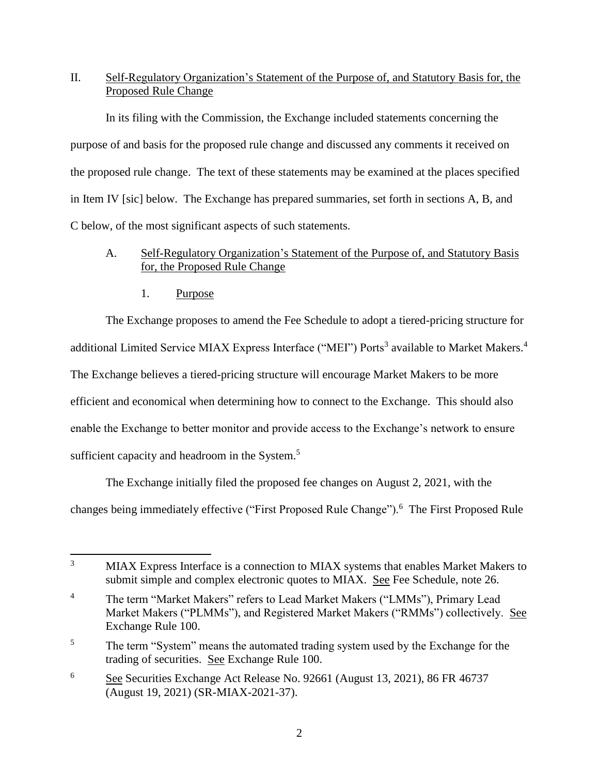# II. Self-Regulatory Organization's Statement of the Purpose of, and Statutory Basis for, the Proposed Rule Change

In its filing with the Commission, the Exchange included statements concerning the purpose of and basis for the proposed rule change and discussed any comments it received on the proposed rule change. The text of these statements may be examined at the places specified in Item IV [sic] below. The Exchange has prepared summaries, set forth in sections A, B, and C below, of the most significant aspects of such statements.

# A. Self-Regulatory Organization's Statement of the Purpose of, and Statutory Basis for, the Proposed Rule Change

1. Purpose

l

The Exchange proposes to amend the Fee Schedule to adopt a tiered-pricing structure for additional Limited Service MIAX Express Interface ("MEI") Ports<sup>3</sup> available to Market Makers.<sup>4</sup> The Exchange believes a tiered-pricing structure will encourage Market Makers to be more efficient and economical when determining how to connect to the Exchange. This should also enable the Exchange to better monitor and provide access to the Exchange's network to ensure sufficient capacity and headroom in the System.<sup>5</sup>

The Exchange initially filed the proposed fee changes on August 2, 2021, with the changes being immediately effective ("First Proposed Rule Change").<sup>6</sup> The First Proposed Rule

<sup>&</sup>lt;sup>3</sup> MIAX Express Interface is a connection to MIAX systems that enables Market Makers to submit simple and complex electronic quotes to MIAX. See Fee Schedule, note 26.

<sup>&</sup>lt;sup>4</sup> The term "Market Makers" refers to Lead Market Makers ("LMMs"), Primary Lead Market Makers ("PLMMs"), and Registered Market Makers ("RMMs") collectively. See Exchange Rule 100.

<sup>&</sup>lt;sup>5</sup> The term "System" means the automated trading system used by the Exchange for the trading of securities. See Exchange Rule 100.

<sup>6</sup> See Securities Exchange Act Release No. 92661 (August 13, 2021), 86 FR 46737 (August 19, 2021) (SR-MIAX-2021-37).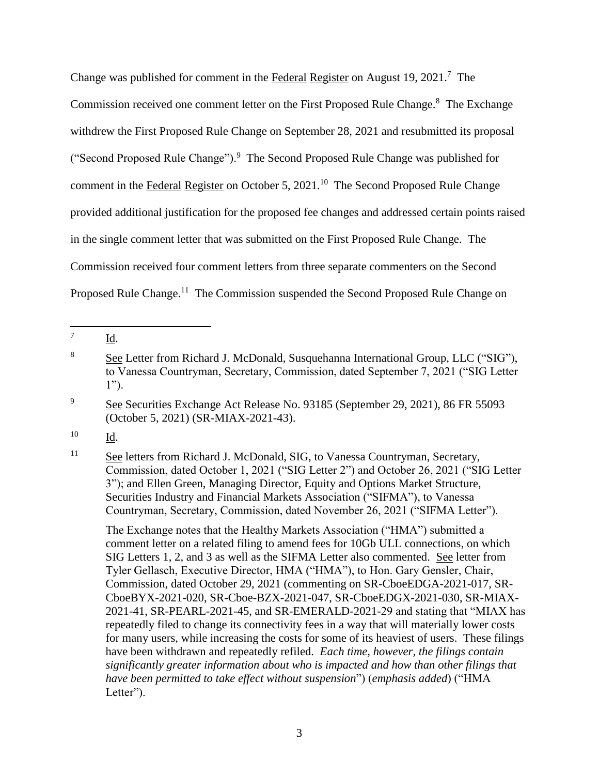Change was published for comment in the Federal Register on August 19, 2021.<sup>7</sup> The Commission received one comment letter on the First Proposed Rule Change.<sup>8</sup> The Exchange withdrew the First Proposed Rule Change on September 28, 2021 and resubmitted its proposal ("Second Proposed Rule Change").<sup>9</sup> The Second Proposed Rule Change was published for comment in the Federal Register on October 5, 2021.<sup>10</sup> The Second Proposed Rule Change provided additional justification for the proposed fee changes and addressed certain points raised in the single comment letter that was submitted on the First Proposed Rule Change. The Commission received four comment letters from three separate commenters on the Second Proposed Rule Change.<sup>11</sup> The Commission suspended the Second Proposed Rule Change on

<sup>11</sup> See letters from Richard J. McDonald, SIG, to Vanessa Countryman, Secretary, Commission, dated October 1, 2021 ("SIG Letter 2") and October 26, 2021 ("SIG Letter 3"); and Ellen Green, Managing Director, Equity and Options Market Structure, Securities Industry and Financial Markets Association ("SIFMA"), to Vanessa Countryman, Secretary, Commission, dated November 26, 2021 ("SIFMA Letter").

The Exchange notes that the Healthy Markets Association ("HMA") submitted a comment letter on a related filing to amend fees for 10Gb ULL connections, on which SIG Letters 1, 2, and 3 as well as the SIFMA Letter also commented. See letter from Tyler Gellasch, Executive Director, HMA ("HMA"), to Hon. Gary Gensler, Chair, Commission, dated October 29, 2021 (commenting on SR-CboeEDGA-2021-017, SR-CboeBYX-2021-020, SR-Cboe-BZX-2021-047, SR-CboeEDGX-2021-030, SR-MIAX-2021-41, SR-PEARL-2021-45, and SR-EMERALD-2021-29 and stating that "MIAX has repeatedly filed to change its connectivity fees in a way that will materially lower costs for many users, while increasing the costs for some of its heaviest of users. These filings have been withdrawn and repeatedly refiled. *Each time, however, the filings contain significantly greater information about who is impacted and how than other filings that have been permitted to take effect without suspension*") (*emphasis added*) ("HMA Letter").

 $\overline{\phantom{a}}$ 7 Id.

<sup>8</sup> See Letter from Richard J. McDonald, Susquehanna International Group, LLC ("SIG"), to Vanessa Countryman, Secretary, Commission, dated September 7, 2021 ("SIG Letter 1").

<sup>&</sup>lt;sup>9</sup> See Securities Exchange Act Release No. 93185 (September 29, 2021), 86 FR 55093 (October 5, 2021) (SR-MIAX-2021-43).

<sup>10</sup> Id.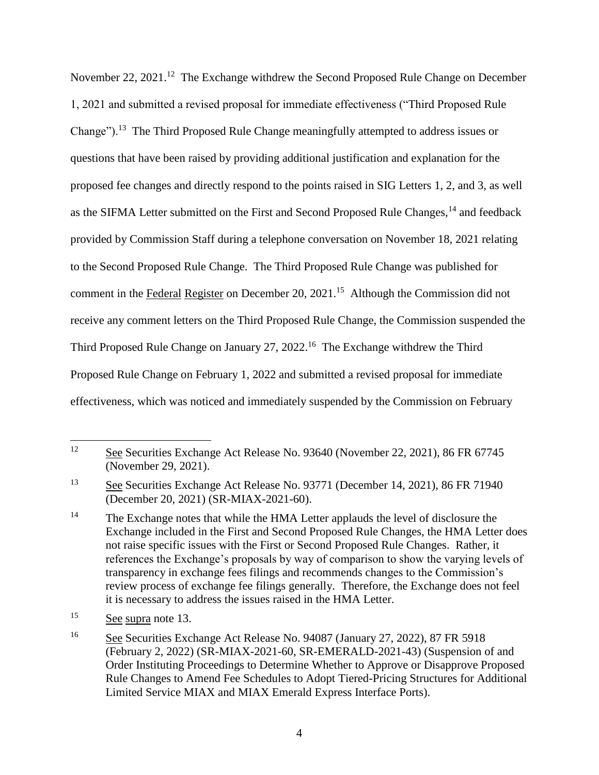November 22, 2021.<sup>12</sup> The Exchange withdrew the Second Proposed Rule Change on December 1, 2021 and submitted a revised proposal for immediate effectiveness ("Third Proposed Rule Change").<sup>13</sup> The Third Proposed Rule Change meaningfully attempted to address issues or questions that have been raised by providing additional justification and explanation for the proposed fee changes and directly respond to the points raised in SIG Letters 1, 2, and 3, as well as the SIFMA Letter submitted on the First and Second Proposed Rule Changes,<sup>14</sup> and feedback provided by Commission Staff during a telephone conversation on November 18, 2021 relating to the Second Proposed Rule Change. The Third Proposed Rule Change was published for comment in the Federal Register on December 20, 2021.<sup>15</sup> Although the Commission did not receive any comment letters on the Third Proposed Rule Change, the Commission suspended the Third Proposed Rule Change on January 27, 2022.<sup>16</sup> The Exchange withdrew the Third Proposed Rule Change on February 1, 2022 and submitted a revised proposal for immediate effectiveness, which was noticed and immediately suspended by the Commission on February

 $\overline{\phantom{a}}$ <sup>12</sup> See Securities Exchange Act Release No. 93640 (November 22, 2021), 86 FR 67745 (November 29, 2021).

<sup>13</sup> See Securities Exchange Act Release No. 93771 (December 14, 2021), 86 FR 71940 (December 20, 2021) (SR-MIAX-2021-60).

<sup>&</sup>lt;sup>14</sup> The Exchange notes that while the HMA Letter applauds the level of disclosure the Exchange included in the First and Second Proposed Rule Changes, the HMA Letter does not raise specific issues with the First or Second Proposed Rule Changes. Rather, it references the Exchange's proposals by way of comparison to show the varying levels of transparency in exchange fees filings and recommends changes to the Commission's review process of exchange fee filings generally. Therefore, the Exchange does not feel it is necessary to address the issues raised in the HMA Letter.

<sup>15</sup> See supra note 13.

<sup>&</sup>lt;sup>16</sup> See Securities Exchange Act Release No. 94087 (January 27, 2022), 87 FR 5918 (February 2, 2022) (SR-MIAX-2021-60, SR-EMERALD-2021-43) (Suspension of and Order Instituting Proceedings to Determine Whether to Approve or Disapprove Proposed Rule Changes to Amend Fee Schedules to Adopt Tiered-Pricing Structures for Additional Limited Service MIAX and MIAX Emerald Express Interface Ports).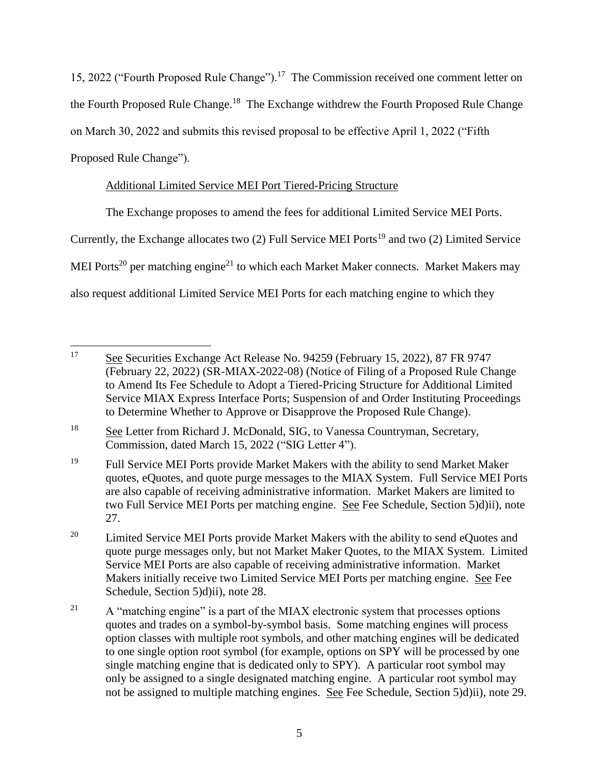15, 2022 ("Fourth Proposed Rule Change").<sup>17</sup> The Commission received one comment letter on the Fourth Proposed Rule Change.<sup>18</sup> The Exchange withdrew the Fourth Proposed Rule Change on March 30, 2022 and submits this revised proposal to be effective April 1, 2022 ("Fifth Proposed Rule Change").

# Additional Limited Service MEI Port Tiered-Pricing Structure

The Exchange proposes to amend the fees for additional Limited Service MEI Ports.

Currently, the Exchange allocates two (2) Full Service MEI Ports<sup>19</sup> and two (2) Limited Service

MEI Ports<sup>20</sup> per matching engine<sup>21</sup> to which each Market Maker connects. Market Makers may

also request additional Limited Service MEI Ports for each matching engine to which they

<sup>17</sup> See Securities Exchange Act Release No. 94259 (February 15, 2022), 87 FR 9747 (February 22, 2022) (SR-MIAX-2022-08) (Notice of Filing of a Proposed Rule Change to Amend Its Fee Schedule to Adopt a Tiered-Pricing Structure for Additional Limited Service MIAX Express Interface Ports; Suspension of and Order Instituting Proceedings to Determine Whether to Approve or Disapprove the Proposed Rule Change).

<sup>&</sup>lt;sup>18</sup> See Letter from Richard J. McDonald, SIG, to Vanessa Countryman, Secretary, Commission, dated March 15, 2022 ("SIG Letter 4").

<sup>&</sup>lt;sup>19</sup> Full Service MEI Ports provide Market Makers with the ability to send Market Maker quotes, eQuotes, and quote purge messages to the MIAX System. Full Service MEI Ports are also capable of receiving administrative information. Market Makers are limited to two Full Service MEI Ports per matching engine. See Fee Schedule, Section 5)d)ii), note 27.

<sup>&</sup>lt;sup>20</sup> Limited Service MEI Ports provide Market Makers with the ability to send eQuotes and quote purge messages only, but not Market Maker Quotes, to the MIAX System. Limited Service MEI Ports are also capable of receiving administrative information. Market Makers initially receive two Limited Service MEI Ports per matching engine. See Fee Schedule, Section 5)d)ii), note 28.

<sup>&</sup>lt;sup>21</sup> A "matching engine" is a part of the MIAX electronic system that processes options quotes and trades on a symbol-by-symbol basis. Some matching engines will process option classes with multiple root symbols, and other matching engines will be dedicated to one single option root symbol (for example, options on SPY will be processed by one single matching engine that is dedicated only to SPY). A particular root symbol may only be assigned to a single designated matching engine. A particular root symbol may not be assigned to multiple matching engines. See Fee Schedule, Section 5)d)ii), note 29.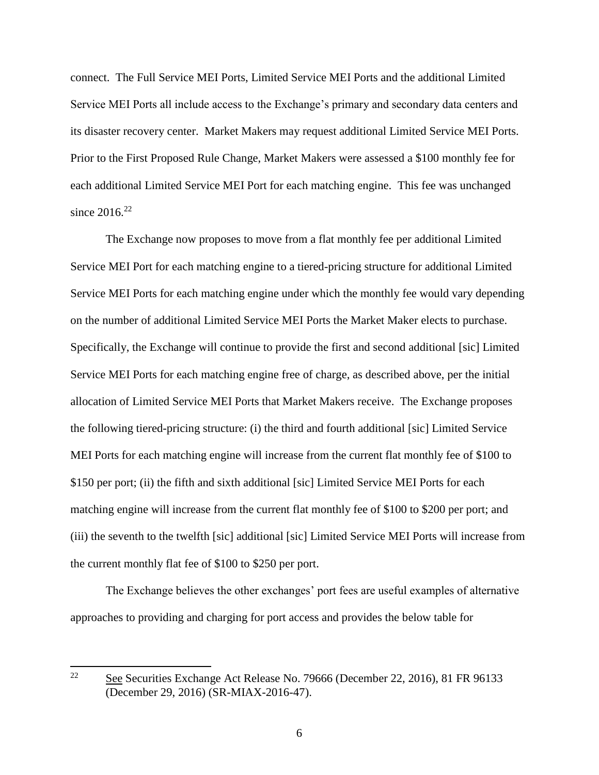connect. The Full Service MEI Ports, Limited Service MEI Ports and the additional Limited Service MEI Ports all include access to the Exchange's primary and secondary data centers and its disaster recovery center. Market Makers may request additional Limited Service MEI Ports. Prior to the First Proposed Rule Change, Market Makers were assessed a \$100 monthly fee for each additional Limited Service MEI Port for each matching engine. This fee was unchanged since  $2016^{22}$ 

The Exchange now proposes to move from a flat monthly fee per additional Limited Service MEI Port for each matching engine to a tiered-pricing structure for additional Limited Service MEI Ports for each matching engine under which the monthly fee would vary depending on the number of additional Limited Service MEI Ports the Market Maker elects to purchase. Specifically, the Exchange will continue to provide the first and second additional [sic] Limited Service MEI Ports for each matching engine free of charge, as described above, per the initial allocation of Limited Service MEI Ports that Market Makers receive. The Exchange proposes the following tiered-pricing structure: (i) the third and fourth additional [sic] Limited Service MEI Ports for each matching engine will increase from the current flat monthly fee of \$100 to \$150 per port; (ii) the fifth and sixth additional [sic] Limited Service MEI Ports for each matching engine will increase from the current flat monthly fee of \$100 to \$200 per port; and (iii) the seventh to the twelfth [sic] additional [sic] Limited Service MEI Ports will increase from the current monthly flat fee of \$100 to \$250 per port.

The Exchange believes the other exchanges' port fees are useful examples of alternative approaches to providing and charging for port access and provides the below table for

<sup>22</sup> <sup>22</sup> See Securities Exchange Act Release No. 79666 (December 22, 2016), 81 FR 96133 (December 29, 2016) (SR-MIAX-2016-47).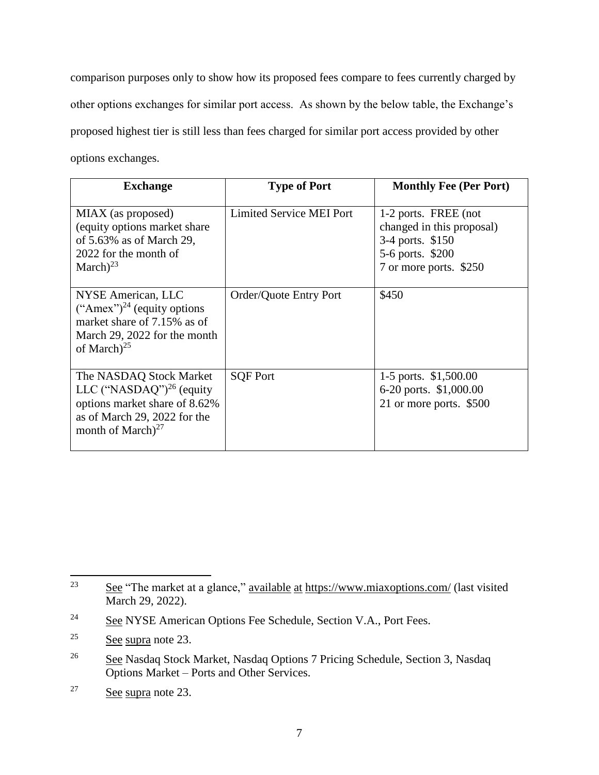comparison purposes only to show how its proposed fees compare to fees currently charged by other options exchanges for similar port access. As shown by the below table, the Exchange's proposed highest tier is still less than fees charged for similar port access provided by other options exchanges.

| <b>Exchange</b>                                                                                                                                             | <b>Type of Port</b>      | <b>Monthly Fee (Per Port)</b>                                                                                       |
|-------------------------------------------------------------------------------------------------------------------------------------------------------------|--------------------------|---------------------------------------------------------------------------------------------------------------------|
| MIAX (as proposed)<br>(equity options market share)<br>of $5.63\%$ as of March 29,<br>2022 for the month of<br>March $)^{23}$                               | Limited Service MEI Port | 1-2 ports. FREE (not<br>changed in this proposal)<br>3-4 ports. \$150<br>5-6 ports. \$200<br>7 or more ports. \$250 |
| NYSE American, LLC<br>("Amex") <sup>24</sup> (equity options)<br>market share of 7.15% as of<br>March 29, 2022 for the month<br>of March $)^{25}$           | Order/Quote Entry Port   | \$450                                                                                                               |
| The NASDAQ Stock Market<br>LLC ("NASDAQ") <sup>26</sup> (equity<br>options market share of 8.62%<br>as of March 29, 2022 for the<br>month of March $)^{27}$ | <b>SQF Port</b>          | 1-5 ports. \$1,500.00<br>6-20 ports. \$1,000.00<br>21 or more ports. \$500                                          |

<sup>23</sup> See "The market at a glance," available at <https://www.miaxoptions.com/> (last visited March 29, 2022).

<sup>&</sup>lt;sup>24</sup> See NYSE American Options Fee Schedule, Section V.A., Port Fees.

 $25$  See supra note 23.

<sup>&</sup>lt;sup>26</sup> See Nasdaq Stock Market, Nasdaq Options 7 Pricing Schedule, Section 3, Nasdaq Options Market – Ports and Other Services.

<sup>27</sup> See supra note 23.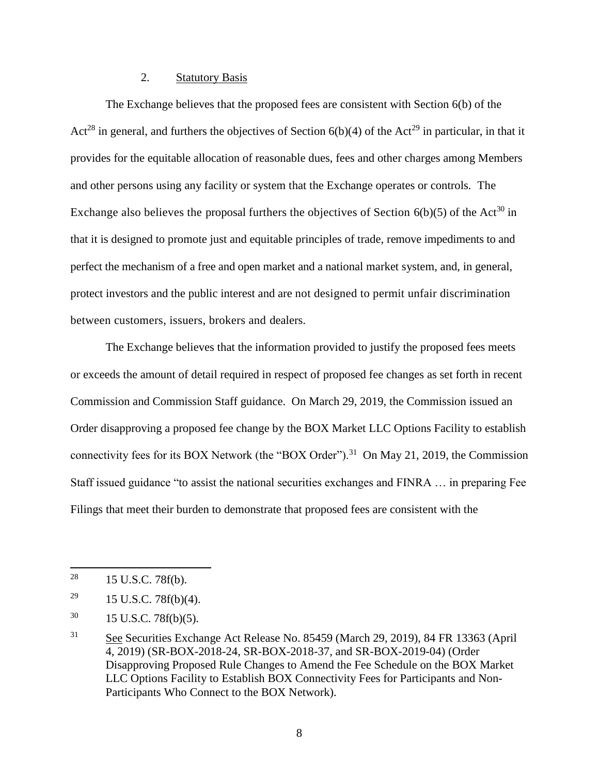## 2. Statutory Basis

The Exchange believes that the proposed fees are consistent with Section 6(b) of the Act<sup>28</sup> in general, and furthers the objectives of Section  $6(b)(4)$  of the Act<sup>29</sup> in particular, in that it provides for the equitable allocation of reasonable dues, fees and other charges among Members and other persons using any facility or system that the Exchange operates or controls. The Exchange also believes the proposal furthers the objectives of Section  $6(b)(5)$  of the Act<sup>30</sup> in that it is designed to promote just and equitable principles of trade, remove impediments to and perfect the mechanism of a free and open market and a national market system, and, in general, protect investors and the public interest and are not designed to permit unfair discrimination between customers, issuers, brokers and dealers.

The Exchange believes that the information provided to justify the proposed fees meets or exceeds the amount of detail required in respect of proposed fee changes as set forth in recent Commission and Commission Staff guidance. On March 29, 2019, the Commission issued an Order disapproving a proposed fee change by the BOX Market LLC Options Facility to establish connectivity fees for its BOX Network (the "BOX Order").<sup>31</sup> On May 21, 2019, the Commission Staff issued guidance "to assist the national securities exchanges and FINRA … in preparing Fee Filings that meet their burden to demonstrate that proposed fees are consistent with the

<sup>28</sup> 15 U.S.C. 78f(b).

<sup>&</sup>lt;sup>29</sup> 15 U.S.C. 78 $f(b)(4)$ .

 $30 \qquad 15 \text{ U.S.C. } 78f(b)(5).$ 

<sup>31</sup> See Securities Exchange Act Release No. 85459 (March 29, 2019), 84 FR 13363 (April 4, 2019) (SR-BOX-2018-24, SR-BOX-2018-37, and SR-BOX-2019-04) (Order Disapproving Proposed Rule Changes to Amend the Fee Schedule on the BOX Market LLC Options Facility to Establish BOX Connectivity Fees for Participants and Non-Participants Who Connect to the BOX Network).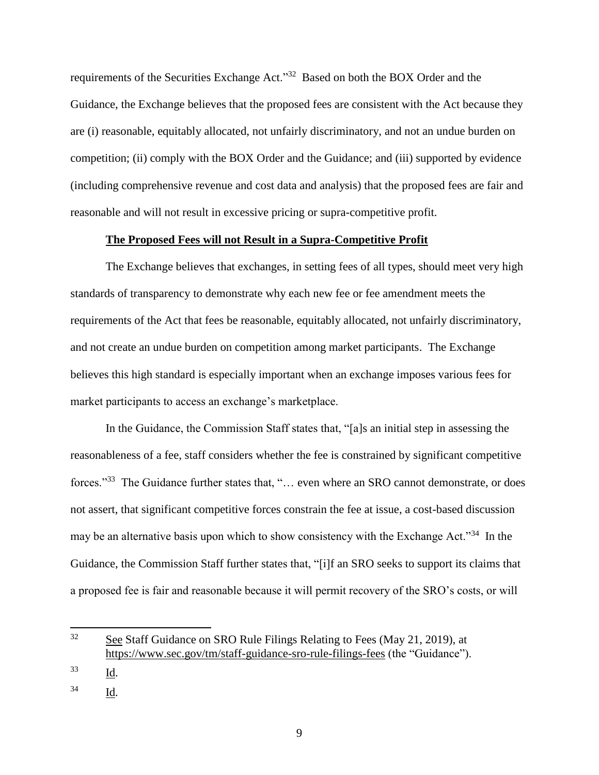requirements of the Securities Exchange Act."<sup>32</sup> Based on both the BOX Order and the Guidance, the Exchange believes that the proposed fees are consistent with the Act because they are (i) reasonable, equitably allocated, not unfairly discriminatory, and not an undue burden on competition; (ii) comply with the BOX Order and the Guidance; and (iii) supported by evidence (including comprehensive revenue and cost data and analysis) that the proposed fees are fair and reasonable and will not result in excessive pricing or supra-competitive profit.

#### **The Proposed Fees will not Result in a Supra-Competitive Profit**

The Exchange believes that exchanges, in setting fees of all types, should meet very high standards of transparency to demonstrate why each new fee or fee amendment meets the requirements of the Act that fees be reasonable, equitably allocated, not unfairly discriminatory, and not create an undue burden on competition among market participants. The Exchange believes this high standard is especially important when an exchange imposes various fees for market participants to access an exchange's marketplace.

In the Guidance, the Commission Staff states that, "[a]s an initial step in assessing the reasonableness of a fee, staff considers whether the fee is constrained by significant competitive forces."<sup>33</sup> The Guidance further states that, "... even where an SRO cannot demonstrate, or does not assert, that significant competitive forces constrain the fee at issue, a cost-based discussion may be an alternative basis upon which to show consistency with the Exchange Act."<sup>34</sup> In the Guidance, the Commission Staff further states that, "[i]f an SRO seeks to support its claims that a proposed fee is fair and reasonable because it will permit recovery of the SRO's costs, or will

l

<sup>34</sup> Id.

<sup>&</sup>lt;sup>32</sup> See Staff Guidance on SRO Rule Filings Relating to Fees (May 21, 2019), at <https://www.sec.gov/tm/staff-guidance-sro-rule-filings-fees> (the "Guidance").

 $\frac{33}{\underline{Id}}$ .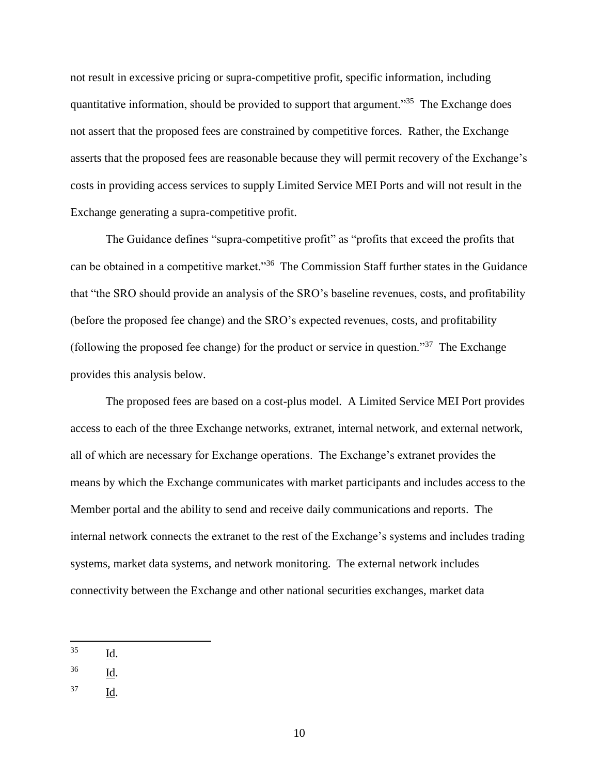not result in excessive pricing or supra-competitive profit, specific information, including quantitative information, should be provided to support that argument."<sup>35</sup> The Exchange does not assert that the proposed fees are constrained by competitive forces. Rather, the Exchange asserts that the proposed fees are reasonable because they will permit recovery of the Exchange's costs in providing access services to supply Limited Service MEI Ports and will not result in the Exchange generating a supra-competitive profit.

The Guidance defines "supra-competitive profit" as "profits that exceed the profits that can be obtained in a competitive market."<sup>36</sup> The Commission Staff further states in the Guidance that "the SRO should provide an analysis of the SRO's baseline revenues, costs, and profitability (before the proposed fee change) and the SRO's expected revenues, costs, and profitability (following the proposed fee change) for the product or service in question."<sup>37</sup> The Exchange provides this analysis below.

The proposed fees are based on a cost-plus model. A Limited Service MEI Port provides access to each of the three Exchange networks, extranet, internal network, and external network, all of which are necessary for Exchange operations. The Exchange's extranet provides the means by which the Exchange communicates with market participants and includes access to the Member portal and the ability to send and receive daily communications and reports. The internal network connects the extranet to the rest of the Exchange's systems and includes trading systems, market data systems, and network monitoring. The external network includes connectivity between the Exchange and other national securities exchanges, market data

35 Id.

- $\frac{36}{\underline{Id}}$ .
- <sup>37</sup> Id.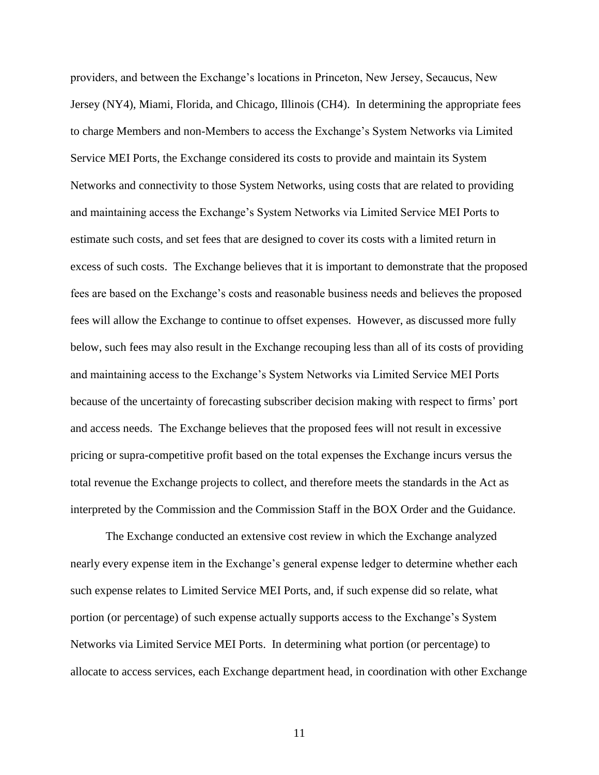providers, and between the Exchange's locations in Princeton, New Jersey, Secaucus, New Jersey (NY4), Miami, Florida, and Chicago, Illinois (CH4). In determining the appropriate fees to charge Members and non-Members to access the Exchange's System Networks via Limited Service MEI Ports, the Exchange considered its costs to provide and maintain its System Networks and connectivity to those System Networks, using costs that are related to providing and maintaining access the Exchange's System Networks via Limited Service MEI Ports to estimate such costs, and set fees that are designed to cover its costs with a limited return in excess of such costs. The Exchange believes that it is important to demonstrate that the proposed fees are based on the Exchange's costs and reasonable business needs and believes the proposed fees will allow the Exchange to continue to offset expenses. However, as discussed more fully below, such fees may also result in the Exchange recouping less than all of its costs of providing and maintaining access to the Exchange's System Networks via Limited Service MEI Ports because of the uncertainty of forecasting subscriber decision making with respect to firms' port and access needs. The Exchange believes that the proposed fees will not result in excessive pricing or supra-competitive profit based on the total expenses the Exchange incurs versus the total revenue the Exchange projects to collect, and therefore meets the standards in the Act as interpreted by the Commission and the Commission Staff in the BOX Order and the Guidance.

The Exchange conducted an extensive cost review in which the Exchange analyzed nearly every expense item in the Exchange's general expense ledger to determine whether each such expense relates to Limited Service MEI Ports, and, if such expense did so relate, what portion (or percentage) of such expense actually supports access to the Exchange's System Networks via Limited Service MEI Ports. In determining what portion (or percentage) to allocate to access services, each Exchange department head, in coordination with other Exchange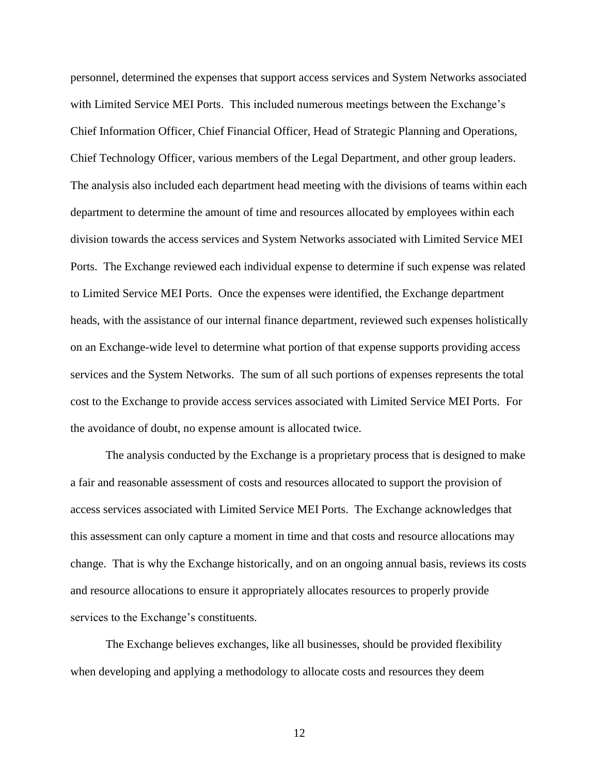personnel, determined the expenses that support access services and System Networks associated with Limited Service MEI Ports. This included numerous meetings between the Exchange's Chief Information Officer, Chief Financial Officer, Head of Strategic Planning and Operations, Chief Technology Officer, various members of the Legal Department, and other group leaders. The analysis also included each department head meeting with the divisions of teams within each department to determine the amount of time and resources allocated by employees within each division towards the access services and System Networks associated with Limited Service MEI Ports. The Exchange reviewed each individual expense to determine if such expense was related to Limited Service MEI Ports. Once the expenses were identified, the Exchange department heads, with the assistance of our internal finance department, reviewed such expenses holistically on an Exchange-wide level to determine what portion of that expense supports providing access services and the System Networks. The sum of all such portions of expenses represents the total cost to the Exchange to provide access services associated with Limited Service MEI Ports. For the avoidance of doubt, no expense amount is allocated twice.

The analysis conducted by the Exchange is a proprietary process that is designed to make a fair and reasonable assessment of costs and resources allocated to support the provision of access services associated with Limited Service MEI Ports. The Exchange acknowledges that this assessment can only capture a moment in time and that costs and resource allocations may change. That is why the Exchange historically, and on an ongoing annual basis, reviews its costs and resource allocations to ensure it appropriately allocates resources to properly provide services to the Exchange's constituents.

The Exchange believes exchanges, like all businesses, should be provided flexibility when developing and applying a methodology to allocate costs and resources they deem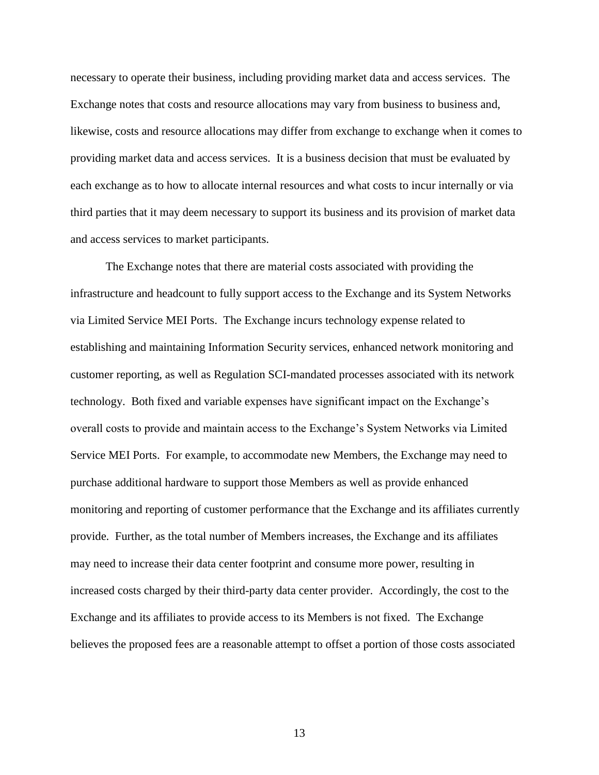necessary to operate their business, including providing market data and access services. The Exchange notes that costs and resource allocations may vary from business to business and, likewise, costs and resource allocations may differ from exchange to exchange when it comes to providing market data and access services. It is a business decision that must be evaluated by each exchange as to how to allocate internal resources and what costs to incur internally or via third parties that it may deem necessary to support its business and its provision of market data and access services to market participants.

The Exchange notes that there are material costs associated with providing the infrastructure and headcount to fully support access to the Exchange and its System Networks via Limited Service MEI Ports. The Exchange incurs technology expense related to establishing and maintaining Information Security services, enhanced network monitoring and customer reporting, as well as Regulation SCI-mandated processes associated with its network technology. Both fixed and variable expenses have significant impact on the Exchange's overall costs to provide and maintain access to the Exchange's System Networks via Limited Service MEI Ports. For example, to accommodate new Members, the Exchange may need to purchase additional hardware to support those Members as well as provide enhanced monitoring and reporting of customer performance that the Exchange and its affiliates currently provide. Further, as the total number of Members increases, the Exchange and its affiliates may need to increase their data center footprint and consume more power, resulting in increased costs charged by their third-party data center provider. Accordingly, the cost to the Exchange and its affiliates to provide access to its Members is not fixed. The Exchange believes the proposed fees are a reasonable attempt to offset a portion of those costs associated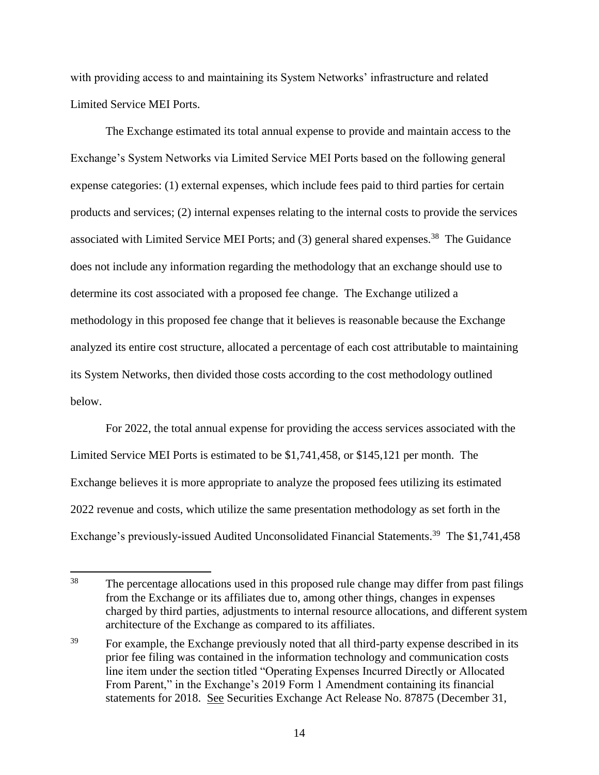with providing access to and maintaining its System Networks' infrastructure and related Limited Service MEI Ports.

The Exchange estimated its total annual expense to provide and maintain access to the Exchange's System Networks via Limited Service MEI Ports based on the following general expense categories: (1) external expenses, which include fees paid to third parties for certain products and services; (2) internal expenses relating to the internal costs to provide the services associated with Limited Service MEI Ports; and (3) general shared expenses.<sup>38</sup> The Guidance does not include any information regarding the methodology that an exchange should use to determine its cost associated with a proposed fee change. The Exchange utilized a methodology in this proposed fee change that it believes is reasonable because the Exchange analyzed its entire cost structure, allocated a percentage of each cost attributable to maintaining its System Networks, then divided those costs according to the cost methodology outlined below.

For 2022, the total annual expense for providing the access services associated with the Limited Service MEI Ports is estimated to be \$1,741,458, or \$145,121 per month. The Exchange believes it is more appropriate to analyze the proposed fees utilizing its estimated 2022 revenue and costs, which utilize the same presentation methodology as set forth in the Exchange's previously-issued Audited Unconsolidated Financial Statements.<sup>39</sup> The \$1,741,458

<sup>38</sup> The percentage allocations used in this proposed rule change may differ from past filings from the Exchange or its affiliates due to, among other things, changes in expenses charged by third parties, adjustments to internal resource allocations, and different system architecture of the Exchange as compared to its affiliates.

<sup>&</sup>lt;sup>39</sup> For example, the Exchange previously noted that all third-party expense described in its prior fee filing was contained in the information technology and communication costs line item under the section titled "Operating Expenses Incurred Directly or Allocated From Parent," in the Exchange's 2019 Form 1 Amendment containing its financial statements for 2018. See Securities Exchange Act Release No. 87875 (December 31,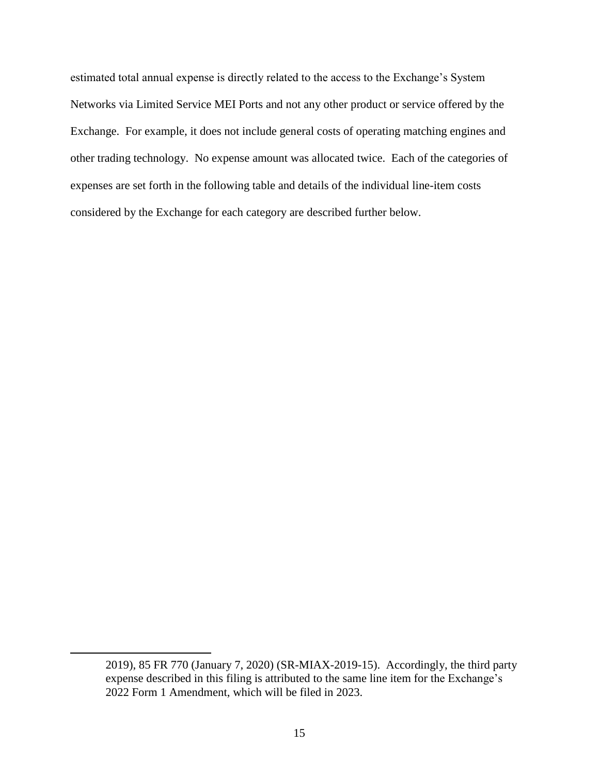estimated total annual expense is directly related to the access to the Exchange's System Networks via Limited Service MEI Ports and not any other product or service offered by the Exchange. For example, it does not include general costs of operating matching engines and other trading technology. No expense amount was allocated twice. Each of the categories of expenses are set forth in the following table and details of the individual line-item costs considered by the Exchange for each category are described further below.

 $\overline{a}$ 

<sup>2019), 85</sup> FR 770 (January 7, 2020) (SR-MIAX-2019-15). Accordingly, the third party expense described in this filing is attributed to the same line item for the Exchange's 2022 Form 1 Amendment, which will be filed in 2023.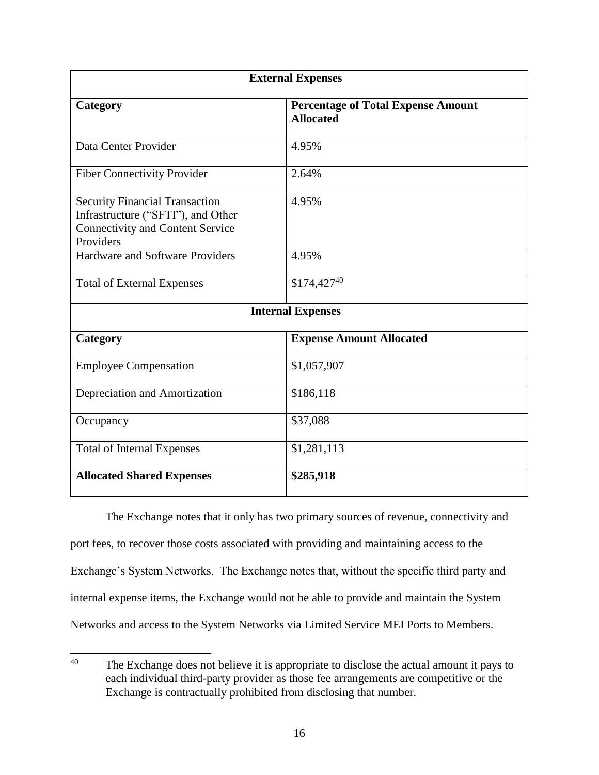| <b>External Expenses</b>                                                                                                            |                                                               |  |  |  |
|-------------------------------------------------------------------------------------------------------------------------------------|---------------------------------------------------------------|--|--|--|
| Category                                                                                                                            | <b>Percentage of Total Expense Amount</b><br><b>Allocated</b> |  |  |  |
| Data Center Provider                                                                                                                | 4.95%                                                         |  |  |  |
| <b>Fiber Connectivity Provider</b>                                                                                                  | 2.64%                                                         |  |  |  |
| <b>Security Financial Transaction</b><br>Infrastructure ("SFTI"), and Other<br><b>Connectivity and Content Service</b><br>Providers | 4.95%                                                         |  |  |  |
| Hardware and Software Providers                                                                                                     | 4.95%                                                         |  |  |  |
| <b>Total of External Expenses</b>                                                                                                   | $$174,427^{40}$                                               |  |  |  |
| <b>Internal Expenses</b>                                                                                                            |                                                               |  |  |  |
| Category                                                                                                                            | <b>Expense Amount Allocated</b>                               |  |  |  |
| <b>Employee Compensation</b>                                                                                                        | \$1,057,907                                                   |  |  |  |
| Depreciation and Amortization                                                                                                       | \$186,118                                                     |  |  |  |
| Occupancy                                                                                                                           | \$37,088                                                      |  |  |  |
| <b>Total of Internal Expenses</b>                                                                                                   | \$1,281,113                                                   |  |  |  |
| <b>Allocated Shared Expenses</b>                                                                                                    | \$285,918                                                     |  |  |  |

The Exchange notes that it only has two primary sources of revenue, connectivity and port fees, to recover those costs associated with providing and maintaining access to the Exchange's System Networks. The Exchange notes that, without the specific third party and internal expense items, the Exchange would not be able to provide and maintain the System Networks and access to the System Networks via Limited Service MEI Ports to Members.

 $40<sup>°</sup>$ The Exchange does not believe it is appropriate to disclose the actual amount it pays to each individual third-party provider as those fee arrangements are competitive or the Exchange is contractually prohibited from disclosing that number.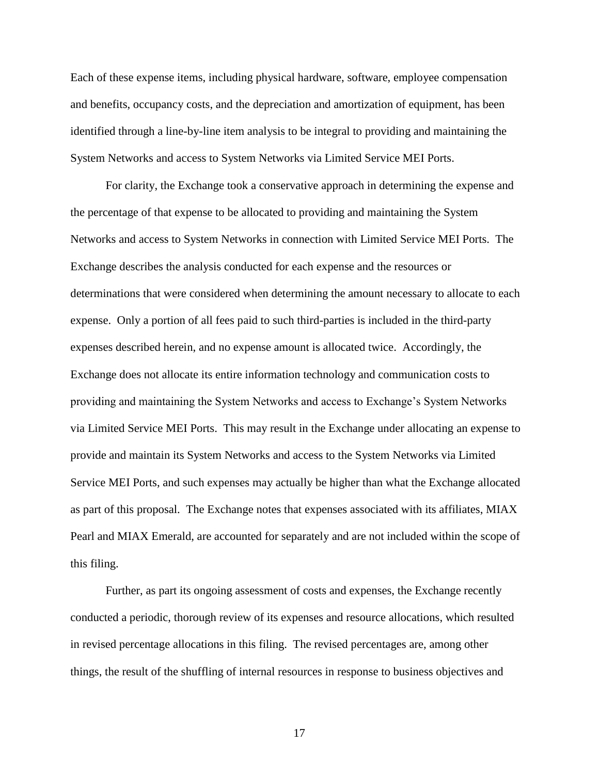Each of these expense items, including physical hardware, software, employee compensation and benefits, occupancy costs, and the depreciation and amortization of equipment, has been identified through a line-by-line item analysis to be integral to providing and maintaining the System Networks and access to System Networks via Limited Service MEI Ports.

For clarity, the Exchange took a conservative approach in determining the expense and the percentage of that expense to be allocated to providing and maintaining the System Networks and access to System Networks in connection with Limited Service MEI Ports. The Exchange describes the analysis conducted for each expense and the resources or determinations that were considered when determining the amount necessary to allocate to each expense. Only a portion of all fees paid to such third-parties is included in the third-party expenses described herein, and no expense amount is allocated twice. Accordingly, the Exchange does not allocate its entire information technology and communication costs to providing and maintaining the System Networks and access to Exchange's System Networks via Limited Service MEI Ports. This may result in the Exchange under allocating an expense to provide and maintain its System Networks and access to the System Networks via Limited Service MEI Ports, and such expenses may actually be higher than what the Exchange allocated as part of this proposal. The Exchange notes that expenses associated with its affiliates, MIAX Pearl and MIAX Emerald, are accounted for separately and are not included within the scope of this filing.

Further, as part its ongoing assessment of costs and expenses, the Exchange recently conducted a periodic, thorough review of its expenses and resource allocations, which resulted in revised percentage allocations in this filing. The revised percentages are, among other things, the result of the shuffling of internal resources in response to business objectives and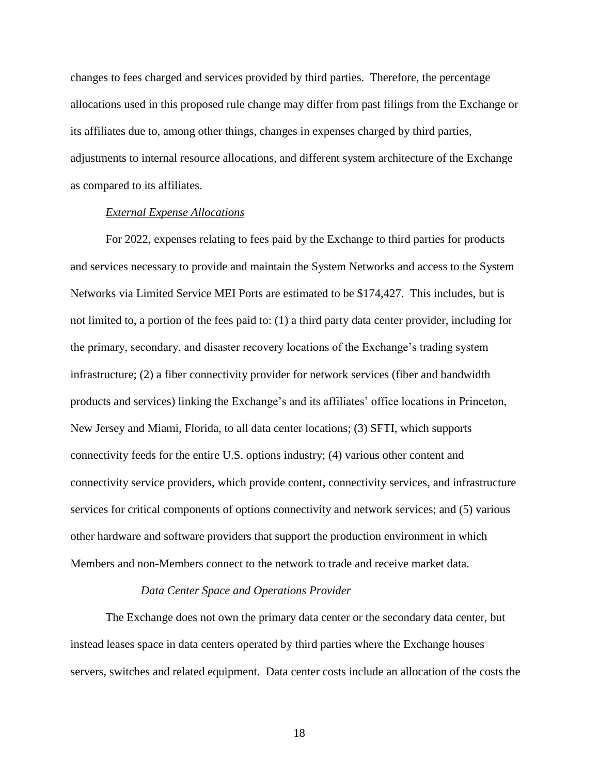changes to fees charged and services provided by third parties. Therefore, the percentage allocations used in this proposed rule change may differ from past filings from the Exchange or its affiliates due to, among other things, changes in expenses charged by third parties, adjustments to internal resource allocations, and different system architecture of the Exchange as compared to its affiliates.

#### *External Expense Allocations*

For 2022, expenses relating to fees paid by the Exchange to third parties for products and services necessary to provide and maintain the System Networks and access to the System Networks via Limited Service MEI Ports are estimated to be \$174,427. This includes, but is not limited to, a portion of the fees paid to: (1) a third party data center provider, including for the primary, secondary, and disaster recovery locations of the Exchange's trading system infrastructure; (2) a fiber connectivity provider for network services (fiber and bandwidth products and services) linking the Exchange's and its affiliates' office locations in Princeton, New Jersey and Miami, Florida, to all data center locations; (3) SFTI, which supports connectivity feeds for the entire U.S. options industry; (4) various other content and connectivity service providers, which provide content, connectivity services, and infrastructure services for critical components of options connectivity and network services; and (5) various other hardware and software providers that support the production environment in which Members and non-Members connect to the network to trade and receive market data.

#### *Data Center Space and Operations Provider*

The Exchange does not own the primary data center or the secondary data center, but instead leases space in data centers operated by third parties where the Exchange houses servers, switches and related equipment. Data center costs include an allocation of the costs the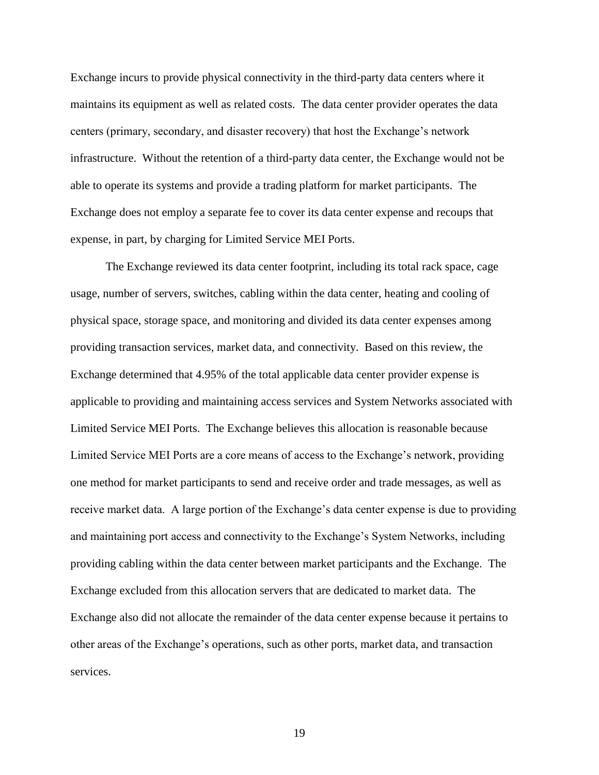Exchange incurs to provide physical connectivity in the third-party data centers where it maintains its equipment as well as related costs. The data center provider operates the data centers (primary, secondary, and disaster recovery) that host the Exchange's network infrastructure. Without the retention of a third-party data center, the Exchange would not be able to operate its systems and provide a trading platform for market participants. The Exchange does not employ a separate fee to cover its data center expense and recoups that expense, in part, by charging for Limited Service MEI Ports.

The Exchange reviewed its data center footprint, including its total rack space, cage usage, number of servers, switches, cabling within the data center, heating and cooling of physical space, storage space, and monitoring and divided its data center expenses among providing transaction services, market data, and connectivity. Based on this review, the Exchange determined that 4.95% of the total applicable data center provider expense is applicable to providing and maintaining access services and System Networks associated with Limited Service MEI Ports. The Exchange believes this allocation is reasonable because Limited Service MEI Ports are a core means of access to the Exchange's network, providing one method for market participants to send and receive order and trade messages, as well as receive market data. A large portion of the Exchange's data center expense is due to providing and maintaining port access and connectivity to the Exchange's System Networks, including providing cabling within the data center between market participants and the Exchange. The Exchange excluded from this allocation servers that are dedicated to market data. The Exchange also did not allocate the remainder of the data center expense because it pertains to other areas of the Exchange's operations, such as other ports, market data, and transaction services.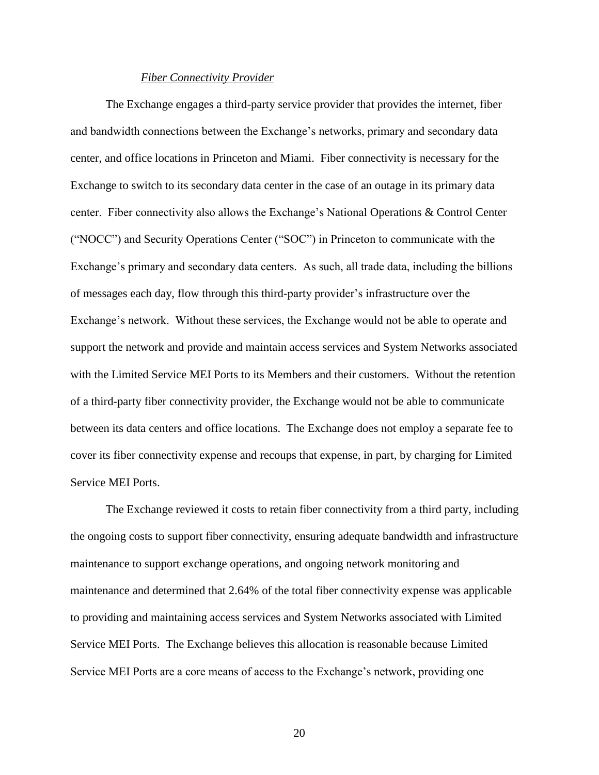#### *Fiber Connectivity Provider*

The Exchange engages a third-party service provider that provides the internet, fiber and bandwidth connections between the Exchange's networks, primary and secondary data center, and office locations in Princeton and Miami. Fiber connectivity is necessary for the Exchange to switch to its secondary data center in the case of an outage in its primary data center. Fiber connectivity also allows the Exchange's National Operations & Control Center ("NOCC") and Security Operations Center ("SOC") in Princeton to communicate with the Exchange's primary and secondary data centers. As such, all trade data, including the billions of messages each day, flow through this third-party provider's infrastructure over the Exchange's network. Without these services, the Exchange would not be able to operate and support the network and provide and maintain access services and System Networks associated with the Limited Service MEI Ports to its Members and their customers. Without the retention of a third-party fiber connectivity provider, the Exchange would not be able to communicate between its data centers and office locations. The Exchange does not employ a separate fee to cover its fiber connectivity expense and recoups that expense, in part, by charging for Limited Service MEI Ports.

The Exchange reviewed it costs to retain fiber connectivity from a third party, including the ongoing costs to support fiber connectivity, ensuring adequate bandwidth and infrastructure maintenance to support exchange operations, and ongoing network monitoring and maintenance and determined that 2.64% of the total fiber connectivity expense was applicable to providing and maintaining access services and System Networks associated with Limited Service MEI Ports. The Exchange believes this allocation is reasonable because Limited Service MEI Ports are a core means of access to the Exchange's network, providing one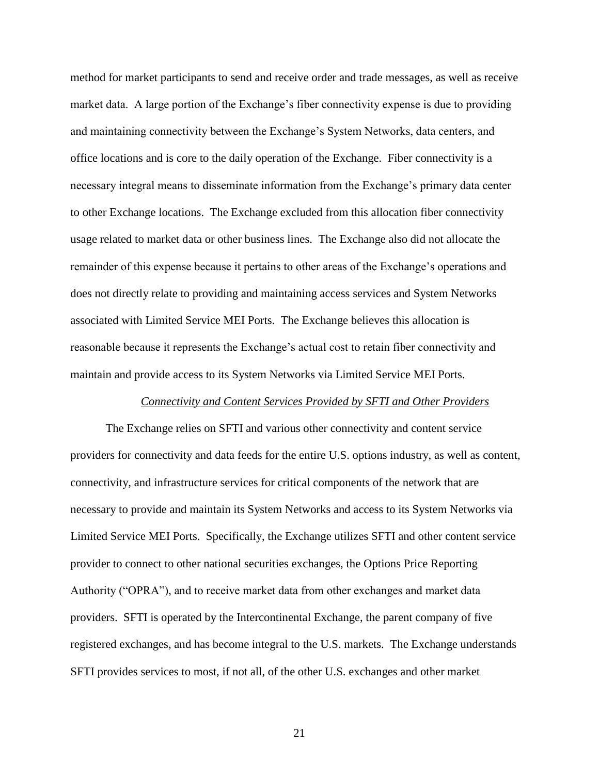method for market participants to send and receive order and trade messages, as well as receive market data. A large portion of the Exchange's fiber connectivity expense is due to providing and maintaining connectivity between the Exchange's System Networks, data centers, and office locations and is core to the daily operation of the Exchange. Fiber connectivity is a necessary integral means to disseminate information from the Exchange's primary data center to other Exchange locations. The Exchange excluded from this allocation fiber connectivity usage related to market data or other business lines. The Exchange also did not allocate the remainder of this expense because it pertains to other areas of the Exchange's operations and does not directly relate to providing and maintaining access services and System Networks associated with Limited Service MEI Ports. The Exchange believes this allocation is reasonable because it represents the Exchange's actual cost to retain fiber connectivity and maintain and provide access to its System Networks via Limited Service MEI Ports.

#### *Connectivity and Content Services Provided by SFTI and Other Providers*

The Exchange relies on SFTI and various other connectivity and content service providers for connectivity and data feeds for the entire U.S. options industry, as well as content, connectivity, and infrastructure services for critical components of the network that are necessary to provide and maintain its System Networks and access to its System Networks via Limited Service MEI Ports. Specifically, the Exchange utilizes SFTI and other content service provider to connect to other national securities exchanges, the Options Price Reporting Authority ("OPRA"), and to receive market data from other exchanges and market data providers. SFTI is operated by the Intercontinental Exchange, the parent company of five registered exchanges, and has become integral to the U.S. markets. The Exchange understands SFTI provides services to most, if not all, of the other U.S. exchanges and other market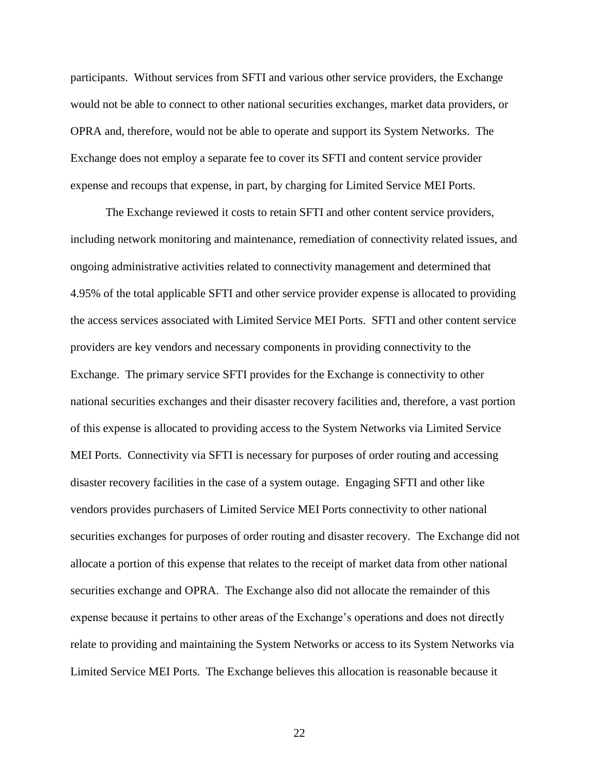participants. Without services from SFTI and various other service providers, the Exchange would not be able to connect to other national securities exchanges, market data providers, or OPRA and, therefore, would not be able to operate and support its System Networks. The Exchange does not employ a separate fee to cover its SFTI and content service provider expense and recoups that expense, in part, by charging for Limited Service MEI Ports.

The Exchange reviewed it costs to retain SFTI and other content service providers, including network monitoring and maintenance, remediation of connectivity related issues, and ongoing administrative activities related to connectivity management and determined that 4.95% of the total applicable SFTI and other service provider expense is allocated to providing the access services associated with Limited Service MEI Ports. SFTI and other content service providers are key vendors and necessary components in providing connectivity to the Exchange. The primary service SFTI provides for the Exchange is connectivity to other national securities exchanges and their disaster recovery facilities and, therefore, a vast portion of this expense is allocated to providing access to the System Networks via Limited Service MEI Ports. Connectivity via SFTI is necessary for purposes of order routing and accessing disaster recovery facilities in the case of a system outage. Engaging SFTI and other like vendors provides purchasers of Limited Service MEI Ports connectivity to other national securities exchanges for purposes of order routing and disaster recovery. The Exchange did not allocate a portion of this expense that relates to the receipt of market data from other national securities exchange and OPRA. The Exchange also did not allocate the remainder of this expense because it pertains to other areas of the Exchange's operations and does not directly relate to providing and maintaining the System Networks or access to its System Networks via Limited Service MEI Ports. The Exchange believes this allocation is reasonable because it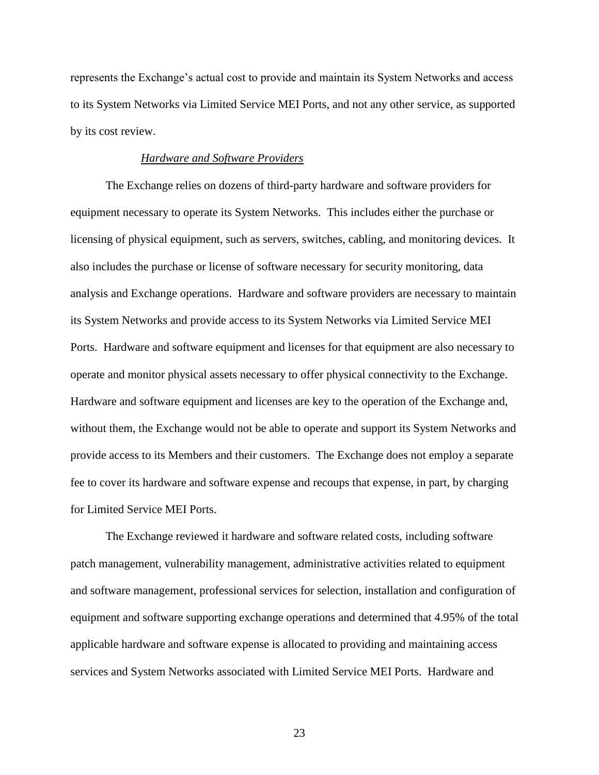represents the Exchange's actual cost to provide and maintain its System Networks and access to its System Networks via Limited Service MEI Ports, and not any other service, as supported by its cost review.

#### *Hardware and Software Providers*

The Exchange relies on dozens of third-party hardware and software providers for equipment necessary to operate its System Networks. This includes either the purchase or licensing of physical equipment, such as servers, switches, cabling, and monitoring devices. It also includes the purchase or license of software necessary for security monitoring, data analysis and Exchange operations. Hardware and software providers are necessary to maintain its System Networks and provide access to its System Networks via Limited Service MEI Ports. Hardware and software equipment and licenses for that equipment are also necessary to operate and monitor physical assets necessary to offer physical connectivity to the Exchange. Hardware and software equipment and licenses are key to the operation of the Exchange and, without them, the Exchange would not be able to operate and support its System Networks and provide access to its Members and their customers. The Exchange does not employ a separate fee to cover its hardware and software expense and recoups that expense, in part, by charging for Limited Service MEI Ports.

The Exchange reviewed it hardware and software related costs, including software patch management, vulnerability management, administrative activities related to equipment and software management, professional services for selection, installation and configuration of equipment and software supporting exchange operations and determined that 4.95% of the total applicable hardware and software expense is allocated to providing and maintaining access services and System Networks associated with Limited Service MEI Ports. Hardware and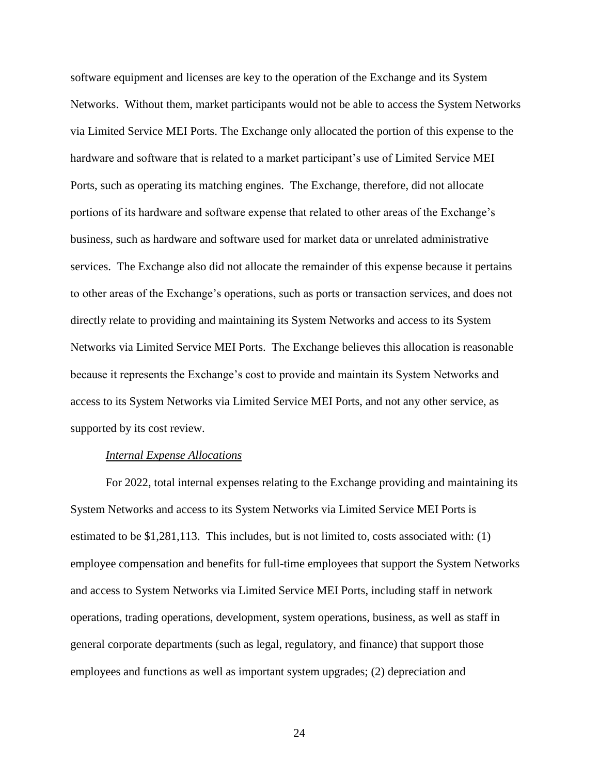software equipment and licenses are key to the operation of the Exchange and its System Networks. Without them, market participants would not be able to access the System Networks via Limited Service MEI Ports. The Exchange only allocated the portion of this expense to the hardware and software that is related to a market participant's use of Limited Service MEI Ports, such as operating its matching engines. The Exchange, therefore, did not allocate portions of its hardware and software expense that related to other areas of the Exchange's business, such as hardware and software used for market data or unrelated administrative services. The Exchange also did not allocate the remainder of this expense because it pertains to other areas of the Exchange's operations, such as ports or transaction services, and does not directly relate to providing and maintaining its System Networks and access to its System Networks via Limited Service MEI Ports. The Exchange believes this allocation is reasonable because it represents the Exchange's cost to provide and maintain its System Networks and access to its System Networks via Limited Service MEI Ports, and not any other service, as supported by its cost review.

#### *Internal Expense Allocations*

For 2022, total internal expenses relating to the Exchange providing and maintaining its System Networks and access to its System Networks via Limited Service MEI Ports is estimated to be \$1,281,113. This includes, but is not limited to, costs associated with: (1) employee compensation and benefits for full-time employees that support the System Networks and access to System Networks via Limited Service MEI Ports, including staff in network operations, trading operations, development, system operations, business, as well as staff in general corporate departments (such as legal, regulatory, and finance) that support those employees and functions as well as important system upgrades; (2) depreciation and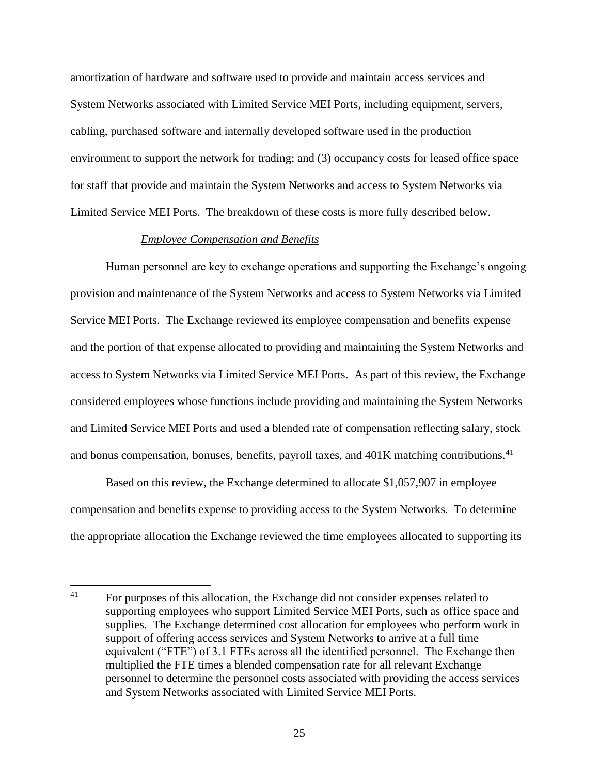amortization of hardware and software used to provide and maintain access services and System Networks associated with Limited Service MEI Ports, including equipment, servers, cabling, purchased software and internally developed software used in the production environment to support the network for trading; and (3) occupancy costs for leased office space for staff that provide and maintain the System Networks and access to System Networks via Limited Service MEI Ports. The breakdown of these costs is more fully described below.

#### *Employee Compensation and Benefits*

Human personnel are key to exchange operations and supporting the Exchange's ongoing provision and maintenance of the System Networks and access to System Networks via Limited Service MEI Ports. The Exchange reviewed its employee compensation and benefits expense and the portion of that expense allocated to providing and maintaining the System Networks and access to System Networks via Limited Service MEI Ports. As part of this review, the Exchange considered employees whose functions include providing and maintaining the System Networks and Limited Service MEI Ports and used a blended rate of compensation reflecting salary, stock and bonus compensation, bonuses, benefits, payroll taxes, and 401K matching contributions.<sup>41</sup>

Based on this review, the Exchange determined to allocate \$1,057,907 in employee compensation and benefits expense to providing access to the System Networks. To determine the appropriate allocation the Exchange reviewed the time employees allocated to supporting its

<sup>41</sup> <sup>41</sup> For purposes of this allocation, the Exchange did not consider expenses related to supporting employees who support Limited Service MEI Ports, such as office space and supplies. The Exchange determined cost allocation for employees who perform work in support of offering access services and System Networks to arrive at a full time equivalent ("FTE") of 3.1 FTEs across all the identified personnel. The Exchange then multiplied the FTE times a blended compensation rate for all relevant Exchange personnel to determine the personnel costs associated with providing the access services and System Networks associated with Limited Service MEI Ports.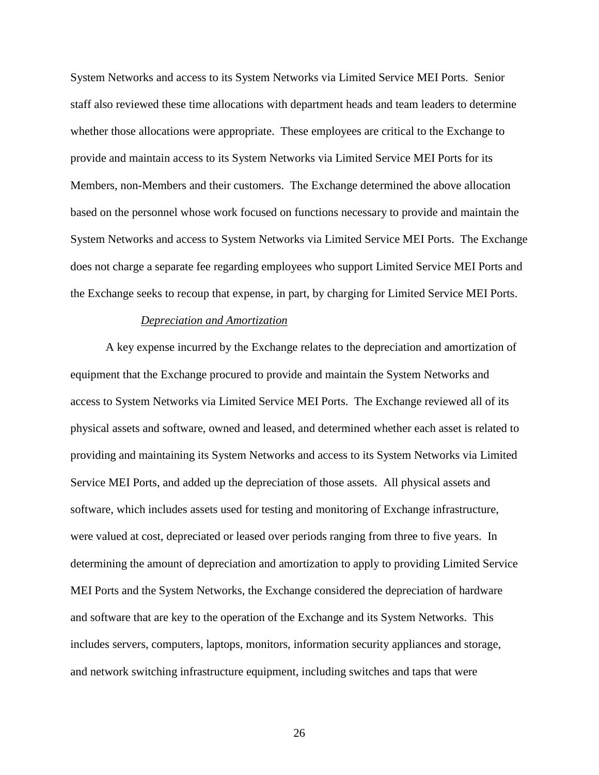System Networks and access to its System Networks via Limited Service MEI Ports. Senior staff also reviewed these time allocations with department heads and team leaders to determine whether those allocations were appropriate. These employees are critical to the Exchange to provide and maintain access to its System Networks via Limited Service MEI Ports for its Members, non-Members and their customers. The Exchange determined the above allocation based on the personnel whose work focused on functions necessary to provide and maintain the System Networks and access to System Networks via Limited Service MEI Ports. The Exchange does not charge a separate fee regarding employees who support Limited Service MEI Ports and the Exchange seeks to recoup that expense, in part, by charging for Limited Service MEI Ports.

#### *Depreciation and Amortization*

A key expense incurred by the Exchange relates to the depreciation and amortization of equipment that the Exchange procured to provide and maintain the System Networks and access to System Networks via Limited Service MEI Ports. The Exchange reviewed all of its physical assets and software, owned and leased, and determined whether each asset is related to providing and maintaining its System Networks and access to its System Networks via Limited Service MEI Ports, and added up the depreciation of those assets. All physical assets and software, which includes assets used for testing and monitoring of Exchange infrastructure, were valued at cost, depreciated or leased over periods ranging from three to five years. In determining the amount of depreciation and amortization to apply to providing Limited Service MEI Ports and the System Networks, the Exchange considered the depreciation of hardware and software that are key to the operation of the Exchange and its System Networks. This includes servers, computers, laptops, monitors, information security appliances and storage, and network switching infrastructure equipment, including switches and taps that were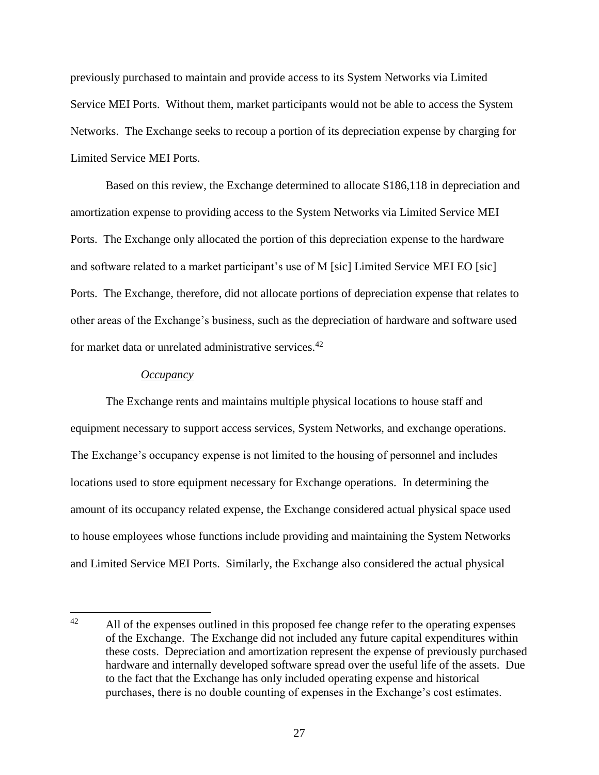previously purchased to maintain and provide access to its System Networks via Limited Service MEI Ports. Without them, market participants would not be able to access the System Networks. The Exchange seeks to recoup a portion of its depreciation expense by charging for Limited Service MEI Ports.

Based on this review, the Exchange determined to allocate \$186,118 in depreciation and amortization expense to providing access to the System Networks via Limited Service MEI Ports. The Exchange only allocated the portion of this depreciation expense to the hardware and software related to a market participant's use of M [sic] Limited Service MEI EO [sic] Ports. The Exchange, therefore, did not allocate portions of depreciation expense that relates to other areas of the Exchange's business, such as the depreciation of hardware and software used for market data or unrelated administrative services.<sup>42</sup>

#### *Occupancy*

The Exchange rents and maintains multiple physical locations to house staff and equipment necessary to support access services, System Networks, and exchange operations. The Exchange's occupancy expense is not limited to the housing of personnel and includes locations used to store equipment necessary for Exchange operations. In determining the amount of its occupancy related expense, the Exchange considered actual physical space used to house employees whose functions include providing and maintaining the System Networks and Limited Service MEI Ports. Similarly, the Exchange also considered the actual physical

 $42$ All of the expenses outlined in this proposed fee change refer to the operating expenses of the Exchange. The Exchange did not included any future capital expenditures within these costs. Depreciation and amortization represent the expense of previously purchased hardware and internally developed software spread over the useful life of the assets. Due to the fact that the Exchange has only included operating expense and historical purchases, there is no double counting of expenses in the Exchange's cost estimates.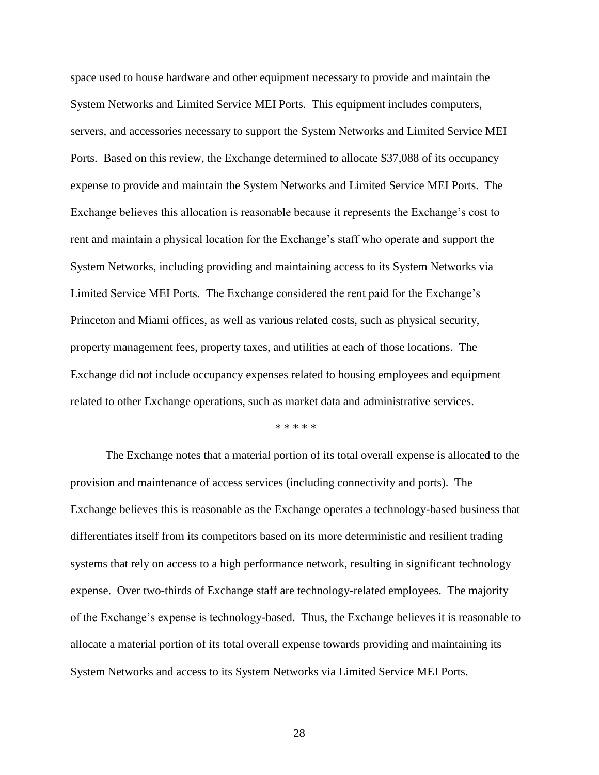space used to house hardware and other equipment necessary to provide and maintain the System Networks and Limited Service MEI Ports. This equipment includes computers, servers, and accessories necessary to support the System Networks and Limited Service MEI Ports. Based on this review, the Exchange determined to allocate \$37,088 of its occupancy expense to provide and maintain the System Networks and Limited Service MEI Ports. The Exchange believes this allocation is reasonable because it represents the Exchange's cost to rent and maintain a physical location for the Exchange's staff who operate and support the System Networks, including providing and maintaining access to its System Networks via Limited Service MEI Ports. The Exchange considered the rent paid for the Exchange's Princeton and Miami offices, as well as various related costs, such as physical security, property management fees, property taxes, and utilities at each of those locations. The Exchange did not include occupancy expenses related to housing employees and equipment related to other Exchange operations, such as market data and administrative services.

\* \* \* \* \*

The Exchange notes that a material portion of its total overall expense is allocated to the provision and maintenance of access services (including connectivity and ports). The Exchange believes this is reasonable as the Exchange operates a technology-based business that differentiates itself from its competitors based on its more deterministic and resilient trading systems that rely on access to a high performance network, resulting in significant technology expense. Over two-thirds of Exchange staff are technology-related employees. The majority of the Exchange's expense is technology-based. Thus, the Exchange believes it is reasonable to allocate a material portion of its total overall expense towards providing and maintaining its System Networks and access to its System Networks via Limited Service MEI Ports.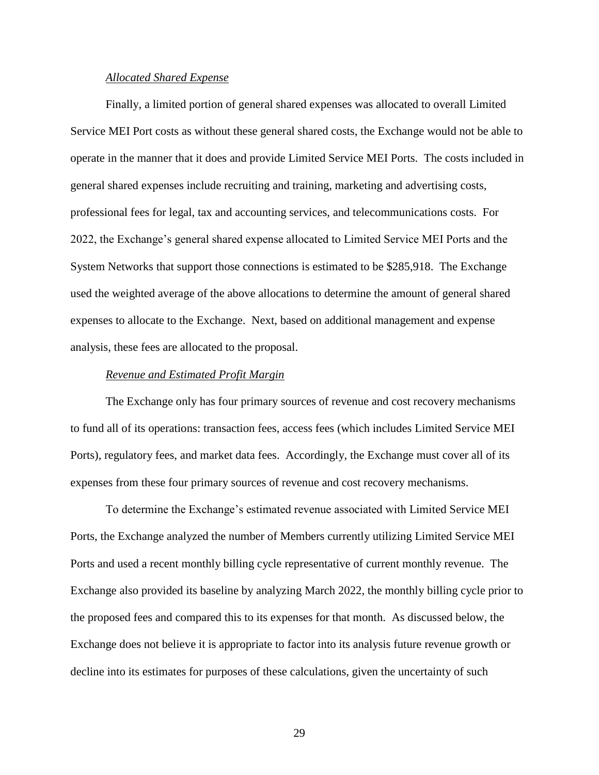#### *Allocated Shared Expense*

Finally, a limited portion of general shared expenses was allocated to overall Limited Service MEI Port costs as without these general shared costs, the Exchange would not be able to operate in the manner that it does and provide Limited Service MEI Ports. The costs included in general shared expenses include recruiting and training, marketing and advertising costs, professional fees for legal, tax and accounting services, and telecommunications costs. For 2022, the Exchange's general shared expense allocated to Limited Service MEI Ports and the System Networks that support those connections is estimated to be \$285,918. The Exchange used the weighted average of the above allocations to determine the amount of general shared expenses to allocate to the Exchange. Next, based on additional management and expense analysis, these fees are allocated to the proposal.

#### *Revenue and Estimated Profit Margin*

The Exchange only has four primary sources of revenue and cost recovery mechanisms to fund all of its operations: transaction fees, access fees (which includes Limited Service MEI Ports), regulatory fees, and market data fees. Accordingly, the Exchange must cover all of its expenses from these four primary sources of revenue and cost recovery mechanisms.

To determine the Exchange's estimated revenue associated with Limited Service MEI Ports, the Exchange analyzed the number of Members currently utilizing Limited Service MEI Ports and used a recent monthly billing cycle representative of current monthly revenue. The Exchange also provided its baseline by analyzing March 2022, the monthly billing cycle prior to the proposed fees and compared this to its expenses for that month. As discussed below, the Exchange does not believe it is appropriate to factor into its analysis future revenue growth or decline into its estimates for purposes of these calculations, given the uncertainty of such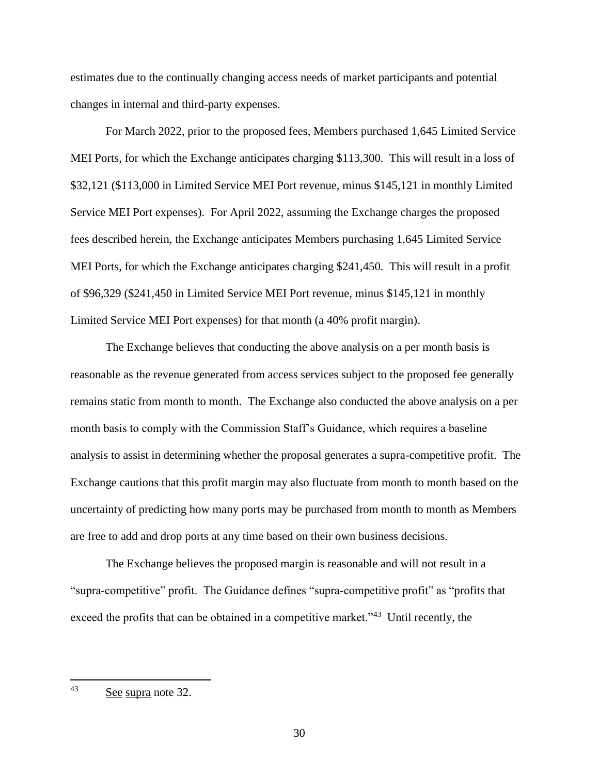estimates due to the continually changing access needs of market participants and potential changes in internal and third-party expenses.

For March 2022, prior to the proposed fees, Members purchased 1,645 Limited Service MEI Ports, for which the Exchange anticipates charging \$113,300. This will result in a loss of \$32,121 (\$113,000 in Limited Service MEI Port revenue, minus \$145,121 in monthly Limited Service MEI Port expenses). For April 2022, assuming the Exchange charges the proposed fees described herein, the Exchange anticipates Members purchasing 1,645 Limited Service MEI Ports, for which the Exchange anticipates charging \$241,450. This will result in a profit of \$96,329 (\$241,450 in Limited Service MEI Port revenue, minus \$145,121 in monthly Limited Service MEI Port expenses) for that month (a 40% profit margin).

The Exchange believes that conducting the above analysis on a per month basis is reasonable as the revenue generated from access services subject to the proposed fee generally remains static from month to month. The Exchange also conducted the above analysis on a per month basis to comply with the Commission Staff's Guidance, which requires a baseline analysis to assist in determining whether the proposal generates a supra-competitive profit. The Exchange cautions that this profit margin may also fluctuate from month to month based on the uncertainty of predicting how many ports may be purchased from month to month as Members are free to add and drop ports at any time based on their own business decisions.

The Exchange believes the proposed margin is reasonable and will not result in a "supra-competitive" profit. The Guidance defines "supra-competitive profit" as "profits that exceed the profits that can be obtained in a competitive market."<sup>43</sup> Until recently, the

 $43$ See supra note 32.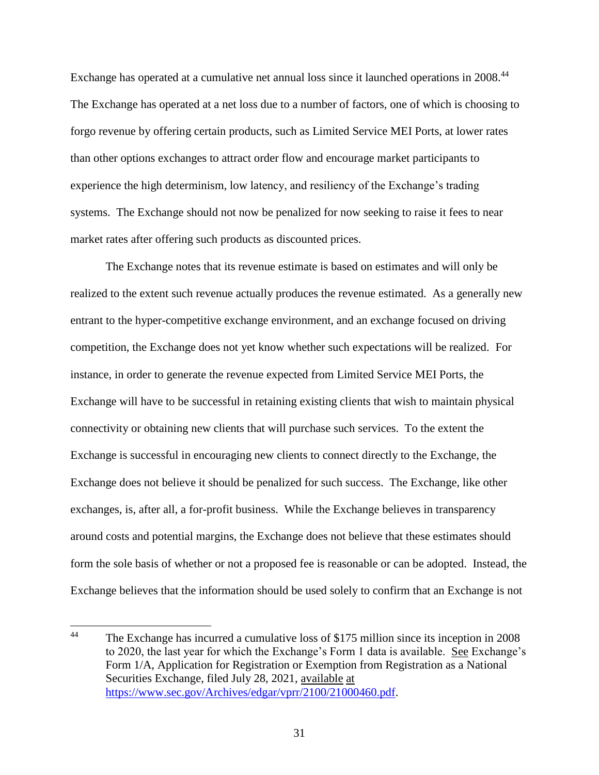Exchange has operated at a cumulative net annual loss since it launched operations in 2008.<sup>44</sup> The Exchange has operated at a net loss due to a number of factors, one of which is choosing to forgo revenue by offering certain products, such as Limited Service MEI Ports, at lower rates than other options exchanges to attract order flow and encourage market participants to experience the high determinism, low latency, and resiliency of the Exchange's trading systems. The Exchange should not now be penalized for now seeking to raise it fees to near market rates after offering such products as discounted prices.

The Exchange notes that its revenue estimate is based on estimates and will only be realized to the extent such revenue actually produces the revenue estimated. As a generally new entrant to the hyper-competitive exchange environment, and an exchange focused on driving competition, the Exchange does not yet know whether such expectations will be realized. For instance, in order to generate the revenue expected from Limited Service MEI Ports, the Exchange will have to be successful in retaining existing clients that wish to maintain physical connectivity or obtaining new clients that will purchase such services. To the extent the Exchange is successful in encouraging new clients to connect directly to the Exchange, the Exchange does not believe it should be penalized for such success. The Exchange, like other exchanges, is, after all, a for-profit business. While the Exchange believes in transparency around costs and potential margins, the Exchange does not believe that these estimates should form the sole basis of whether or not a proposed fee is reasonable or can be adopted. Instead, the Exchange believes that the information should be used solely to confirm that an Exchange is not

<sup>44</sup> The Exchange has incurred a cumulative loss of \$175 million since its inception in 2008 to 2020, the last year for which the Exchange's Form 1 data is available. See Exchange's Form 1/A, Application for Registration or Exemption from Registration as a National Securities Exchange, filed July 28, 2021, available at [https://www.sec.gov/Archives/edgar/vprr/2100/21000460.pdf.](https://www.sec.gov/Archives/edgar/vprr/2100/21000460.pdf)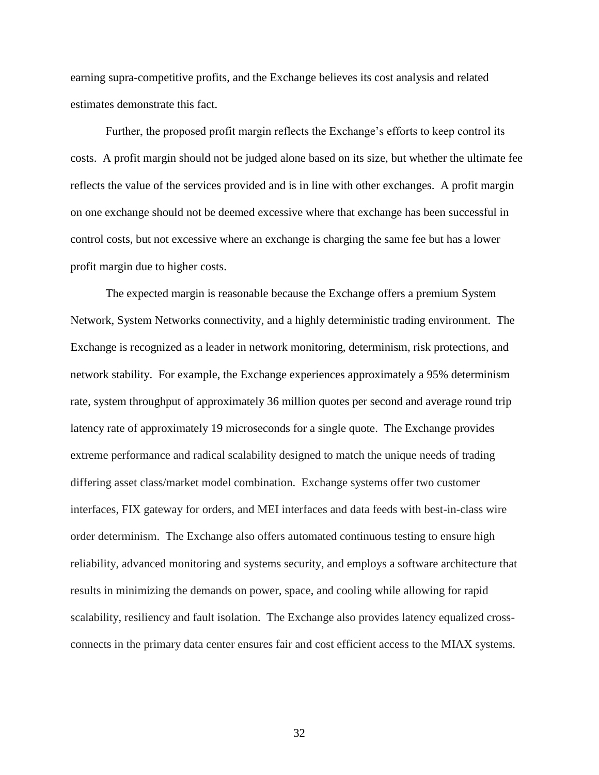earning supra-competitive profits, and the Exchange believes its cost analysis and related estimates demonstrate this fact.

Further, the proposed profit margin reflects the Exchange's efforts to keep control its costs. A profit margin should not be judged alone based on its size, but whether the ultimate fee reflects the value of the services provided and is in line with other exchanges. A profit margin on one exchange should not be deemed excessive where that exchange has been successful in control costs, but not excessive where an exchange is charging the same fee but has a lower profit margin due to higher costs.

The expected margin is reasonable because the Exchange offers a premium System Network, System Networks connectivity, and a highly deterministic trading environment. The Exchange is recognized as a leader in network monitoring, determinism, risk protections, and network stability. For example, the Exchange experiences approximately a 95% determinism rate, system throughput of approximately 36 million quotes per second and average round trip latency rate of approximately 19 microseconds for a single quote. The Exchange provides extreme performance and radical scalability designed to match the unique needs of trading differing asset class/market model combination. Exchange systems offer two customer interfaces, FIX gateway for orders, and MEI interfaces and data feeds with best-in-class wire order determinism. The Exchange also offers automated continuous testing to ensure high reliability, advanced monitoring and systems security, and employs a software architecture that results in minimizing the demands on power, space, and cooling while allowing for rapid scalability, resiliency and fault isolation. The Exchange also provides latency equalized crossconnects in the primary data center ensures fair and cost efficient access to the MIAX systems.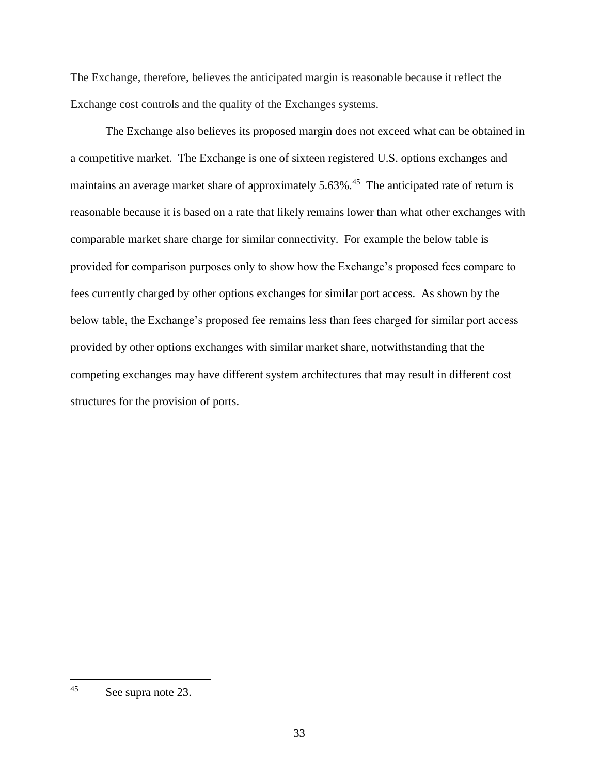The Exchange, therefore, believes the anticipated margin is reasonable because it reflect the Exchange cost controls and the quality of the Exchanges systems.

The Exchange also believes its proposed margin does not exceed what can be obtained in a competitive market. The Exchange is one of sixteen registered U.S. options exchanges and maintains an average market share of approximately 5.63%.<sup>45</sup> The anticipated rate of return is reasonable because it is based on a rate that likely remains lower than what other exchanges with comparable market share charge for similar connectivity. For example the below table is provided for comparison purposes only to show how the Exchange's proposed fees compare to fees currently charged by other options exchanges for similar port access. As shown by the below table, the Exchange's proposed fee remains less than fees charged for similar port access provided by other options exchanges with similar market share, notwithstanding that the competing exchanges may have different system architectures that may result in different cost structures for the provision of ports.

<sup>45</sup> See supra note 23.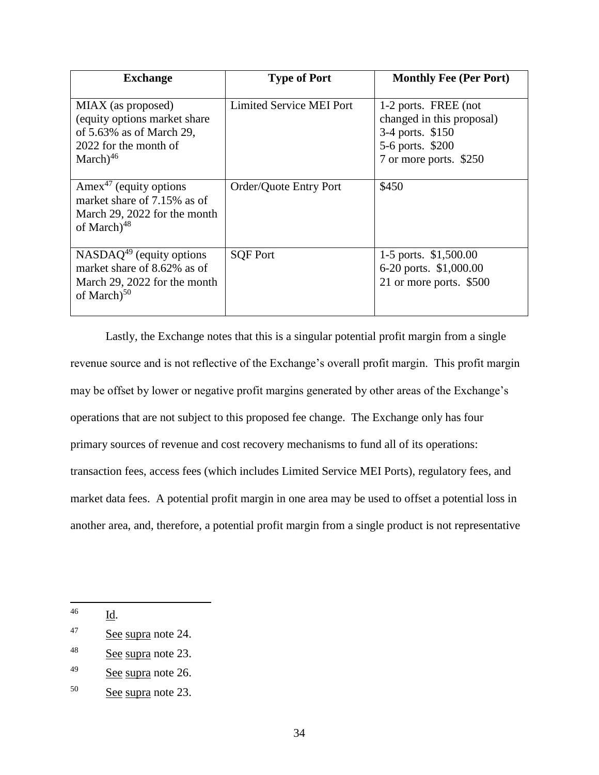| <b>Exchange</b>                                                                                                               | <b>Type of Port</b>      | <b>Monthly Fee (Per Port)</b>                                                                                       |
|-------------------------------------------------------------------------------------------------------------------------------|--------------------------|---------------------------------------------------------------------------------------------------------------------|
| MIAX (as proposed)<br>(equity options market share)<br>of $5.63\%$ as of March 29,<br>2022 for the month of<br>March $)^{46}$ | Limited Service MEI Port | 1-2 ports. FREE (not<br>changed in this proposal)<br>3-4 ports. \$150<br>5-6 ports. \$200<br>7 or more ports. \$250 |
| Amex <sup>47</sup> (equity options<br>market share of 7.15% as of<br>March 29, 2022 for the month<br>of March $)^{48}$        | Order/Quote Entry Port   | \$450                                                                                                               |
| $NASDAQ49$ (equity options<br>market share of 8.62% as of<br>March 29, 2022 for the month<br>of March $5^{0}$                 | <b>SOF Port</b>          | 1-5 ports. \$1,500.00<br>6-20 ports. \$1,000.00<br>21 or more ports. \$500                                          |

Lastly, the Exchange notes that this is a singular potential profit margin from a single revenue source and is not reflective of the Exchange's overall profit margin. This profit margin may be offset by lower or negative profit margins generated by other areas of the Exchange's operations that are not subject to this proposed fee change. The Exchange only has four primary sources of revenue and cost recovery mechanisms to fund all of its operations: transaction fees, access fees (which includes Limited Service MEI Ports), regulatory fees, and market data fees. A potential profit margin in one area may be used to offset a potential loss in another area, and, therefore, a potential profit margin from a single product is not representative

 $\overline{\phantom{a}}$ 

<sup>46</sup> Id.

<sup>47</sup> See supra note 24.

<sup>48</sup> See supra note 23.

<sup>&</sup>lt;sup>49</sup> See supra note 26.

<sup>50</sup> See supra note 23.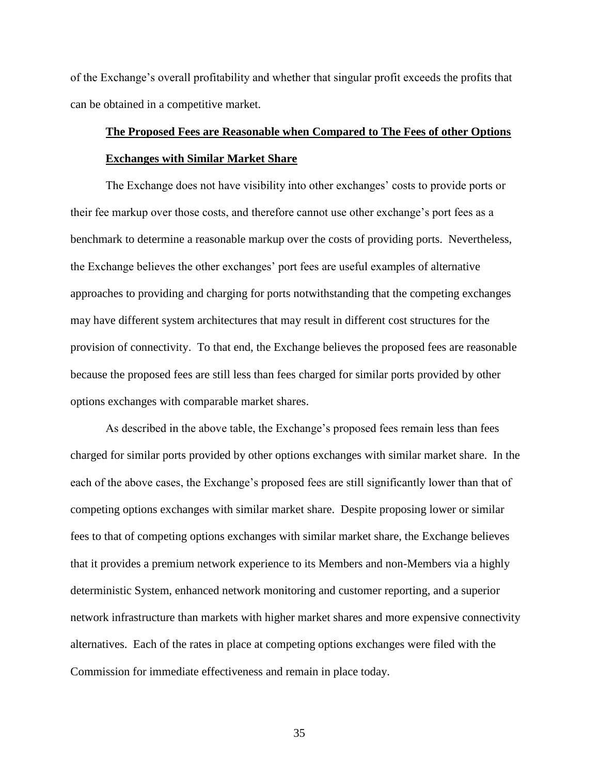of the Exchange's overall profitability and whether that singular profit exceeds the profits that can be obtained in a competitive market.

# **The Proposed Fees are Reasonable when Compared to The Fees of other Options Exchanges with Similar Market Share**

The Exchange does not have visibility into other exchanges' costs to provide ports or their fee markup over those costs, and therefore cannot use other exchange's port fees as a benchmark to determine a reasonable markup over the costs of providing ports. Nevertheless, the Exchange believes the other exchanges' port fees are useful examples of alternative approaches to providing and charging for ports notwithstanding that the competing exchanges may have different system architectures that may result in different cost structures for the provision of connectivity. To that end, the Exchange believes the proposed fees are reasonable because the proposed fees are still less than fees charged for similar ports provided by other options exchanges with comparable market shares.

As described in the above table, the Exchange's proposed fees remain less than fees charged for similar ports provided by other options exchanges with similar market share. In the each of the above cases, the Exchange's proposed fees are still significantly lower than that of competing options exchanges with similar market share. Despite proposing lower or similar fees to that of competing options exchanges with similar market share, the Exchange believes that it provides a premium network experience to its Members and non-Members via a highly deterministic System, enhanced network monitoring and customer reporting, and a superior network infrastructure than markets with higher market shares and more expensive connectivity alternatives. Each of the rates in place at competing options exchanges were filed with the Commission for immediate effectiveness and remain in place today.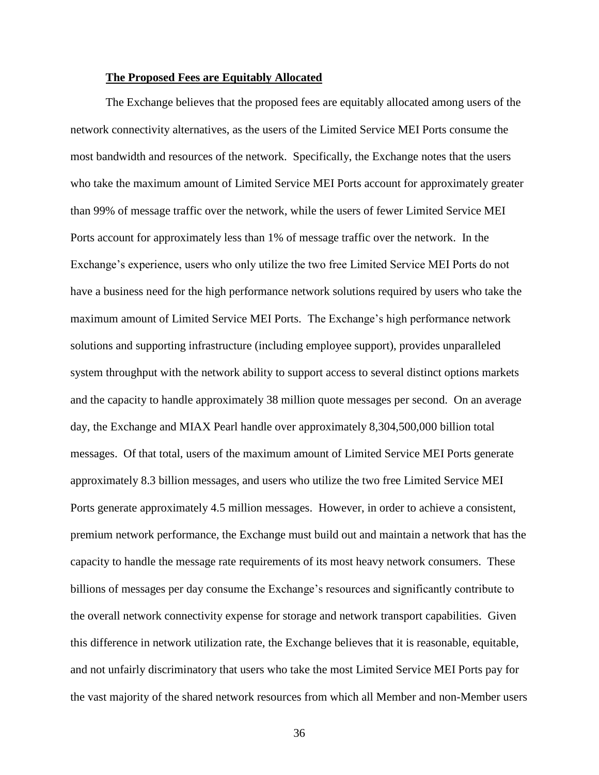#### **The Proposed Fees are Equitably Allocated**

The Exchange believes that the proposed fees are equitably allocated among users of the network connectivity alternatives, as the users of the Limited Service MEI Ports consume the most bandwidth and resources of the network. Specifically, the Exchange notes that the users who take the maximum amount of Limited Service MEI Ports account for approximately greater than 99% of message traffic over the network, while the users of fewer Limited Service MEI Ports account for approximately less than 1% of message traffic over the network. In the Exchange's experience, users who only utilize the two free Limited Service MEI Ports do not have a business need for the high performance network solutions required by users who take the maximum amount of Limited Service MEI Ports. The Exchange's high performance network solutions and supporting infrastructure (including employee support), provides unparalleled system throughput with the network ability to support access to several distinct options markets and the capacity to handle approximately 38 million quote messages per second. On an average day, the Exchange and MIAX Pearl handle over approximately 8,304,500,000 billion total messages. Of that total, users of the maximum amount of Limited Service MEI Ports generate approximately 8.3 billion messages, and users who utilize the two free Limited Service MEI Ports generate approximately 4.5 million messages. However, in order to achieve a consistent, premium network performance, the Exchange must build out and maintain a network that has the capacity to handle the message rate requirements of its most heavy network consumers. These billions of messages per day consume the Exchange's resources and significantly contribute to the overall network connectivity expense for storage and network transport capabilities. Given this difference in network utilization rate, the Exchange believes that it is reasonable, equitable, and not unfairly discriminatory that users who take the most Limited Service MEI Ports pay for the vast majority of the shared network resources from which all Member and non-Member users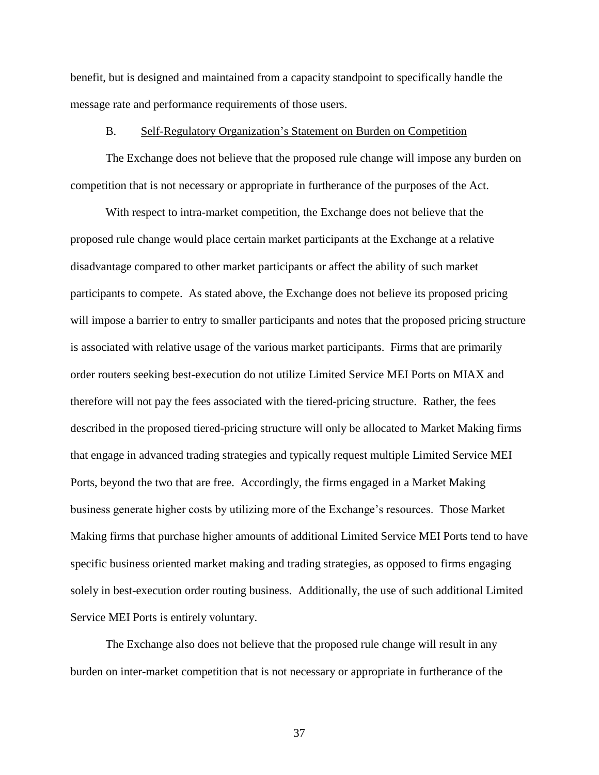benefit, but is designed and maintained from a capacity standpoint to specifically handle the message rate and performance requirements of those users.

#### B. Self-Regulatory Organization's Statement on Burden on Competition

The Exchange does not believe that the proposed rule change will impose any burden on competition that is not necessary or appropriate in furtherance of the purposes of the Act.

With respect to intra-market competition, the Exchange does not believe that the proposed rule change would place certain market participants at the Exchange at a relative disadvantage compared to other market participants or affect the ability of such market participants to compete. As stated above, the Exchange does not believe its proposed pricing will impose a barrier to entry to smaller participants and notes that the proposed pricing structure is associated with relative usage of the various market participants. Firms that are primarily order routers seeking best-execution do not utilize Limited Service MEI Ports on MIAX and therefore will not pay the fees associated with the tiered-pricing structure. Rather, the fees described in the proposed tiered-pricing structure will only be allocated to Market Making firms that engage in advanced trading strategies and typically request multiple Limited Service MEI Ports, beyond the two that are free. Accordingly, the firms engaged in a Market Making business generate higher costs by utilizing more of the Exchange's resources. Those Market Making firms that purchase higher amounts of additional Limited Service MEI Ports tend to have specific business oriented market making and trading strategies, as opposed to firms engaging solely in best-execution order routing business. Additionally, the use of such additional Limited Service MEI Ports is entirely voluntary.

The Exchange also does not believe that the proposed rule change will result in any burden on inter-market competition that is not necessary or appropriate in furtherance of the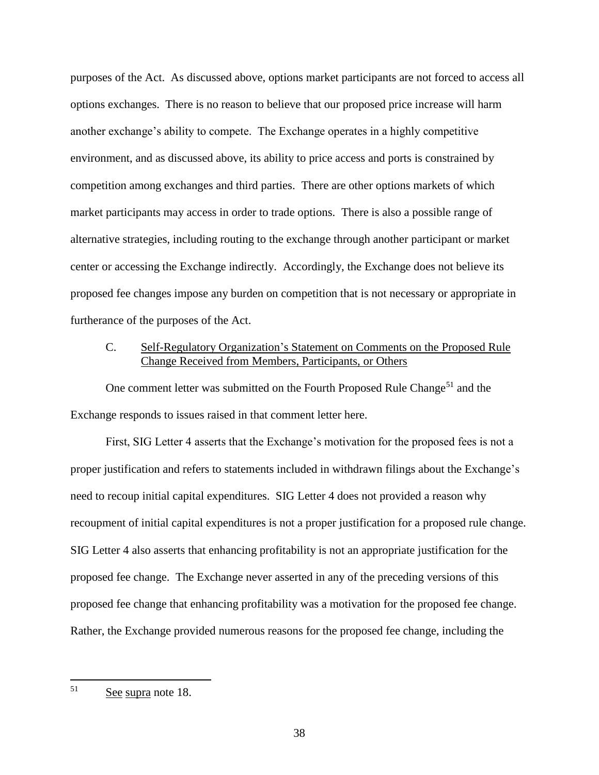purposes of the Act. As discussed above, options market participants are not forced to access all options exchanges. There is no reason to believe that our proposed price increase will harm another exchange's ability to compete. The Exchange operates in a highly competitive environment, and as discussed above, its ability to price access and ports is constrained by competition among exchanges and third parties. There are other options markets of which market participants may access in order to trade options. There is also a possible range of alternative strategies, including routing to the exchange through another participant or market center or accessing the Exchange indirectly. Accordingly, the Exchange does not believe its proposed fee changes impose any burden on competition that is not necessary or appropriate in furtherance of the purposes of the Act.

## C. Self-Regulatory Organization's Statement on Comments on the Proposed Rule Change Received from Members, Participants, or Others

One comment letter was submitted on the Fourth Proposed Rule Change<sup>51</sup> and the Exchange responds to issues raised in that comment letter here.

First, SIG Letter 4 asserts that the Exchange's motivation for the proposed fees is not a proper justification and refers to statements included in withdrawn filings about the Exchange's need to recoup initial capital expenditures. SIG Letter 4 does not provided a reason why recoupment of initial capital expenditures is not a proper justification for a proposed rule change. SIG Letter 4 also asserts that enhancing profitability is not an appropriate justification for the proposed fee change. The Exchange never asserted in any of the preceding versions of this proposed fee change that enhancing profitability was a motivation for the proposed fee change. Rather, the Exchange provided numerous reasons for the proposed fee change, including the

 $51$ See supra note 18.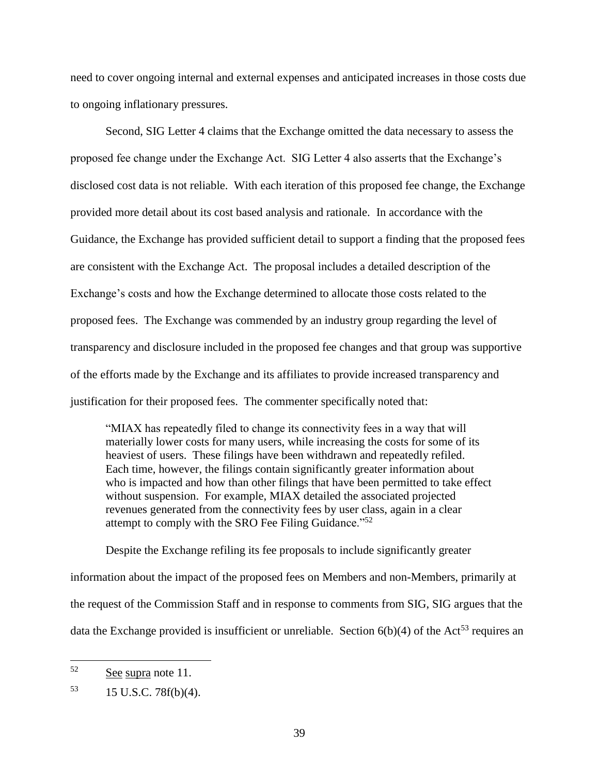need to cover ongoing internal and external expenses and anticipated increases in those costs due to ongoing inflationary pressures.

Second, SIG Letter 4 claims that the Exchange omitted the data necessary to assess the proposed fee change under the Exchange Act. SIG Letter 4 also asserts that the Exchange's disclosed cost data is not reliable. With each iteration of this proposed fee change, the Exchange provided more detail about its cost based analysis and rationale. In accordance with the Guidance, the Exchange has provided sufficient detail to support a finding that the proposed fees are consistent with the Exchange Act. The proposal includes a detailed description of the Exchange's costs and how the Exchange determined to allocate those costs related to the proposed fees. The Exchange was commended by an industry group regarding the level of transparency and disclosure included in the proposed fee changes and that group was supportive of the efforts made by the Exchange and its affiliates to provide increased transparency and justification for their proposed fees. The commenter specifically noted that:

"MIAX has repeatedly filed to change its connectivity fees in a way that will materially lower costs for many users, while increasing the costs for some of its heaviest of users. These filings have been withdrawn and repeatedly refiled. Each time, however, the filings contain significantly greater information about who is impacted and how than other filings that have been permitted to take effect without suspension. For example, MIAX detailed the associated projected revenues generated from the connectivity fees by user class, again in a clear attempt to comply with the SRO Fee Filing Guidance."<sup>52</sup>

Despite the Exchange refiling its fee proposals to include significantly greater information about the impact of the proposed fees on Members and non-Members, primarily at the request of the Commission Staff and in response to comments from SIG, SIG argues that the data the Exchange provided is insufficient or unreliable. Section  $6(b)(4)$  of the Act<sup>53</sup> requires an

<sup>52</sup> See supra note 11.

 $15 \text{ U.S.C. } 78f(b)(4).$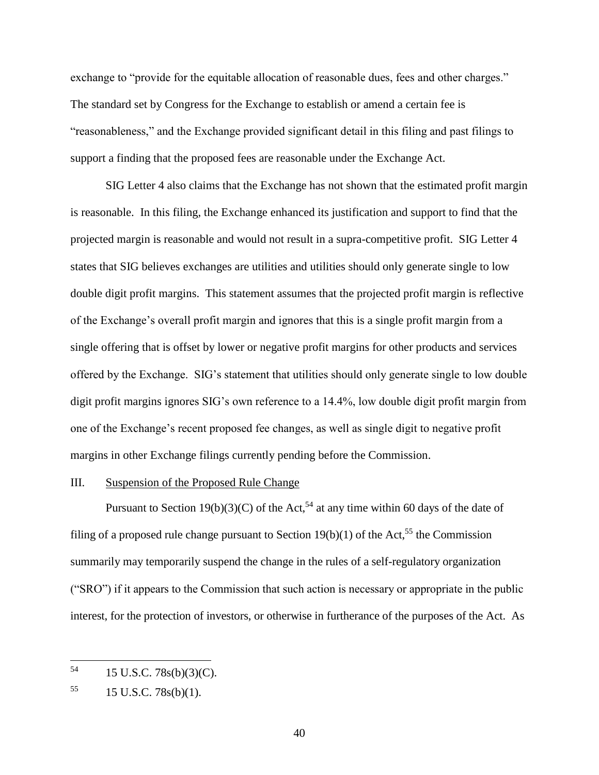exchange to "provide for the equitable allocation of reasonable dues, fees and other charges." The standard set by Congress for the Exchange to establish or amend a certain fee is "reasonableness," and the Exchange provided significant detail in this filing and past filings to support a finding that the proposed fees are reasonable under the Exchange Act.

SIG Letter 4 also claims that the Exchange has not shown that the estimated profit margin is reasonable. In this filing, the Exchange enhanced its justification and support to find that the projected margin is reasonable and would not result in a supra-competitive profit. SIG Letter 4 states that SIG believes exchanges are utilities and utilities should only generate single to low double digit profit margins. This statement assumes that the projected profit margin is reflective of the Exchange's overall profit margin and ignores that this is a single profit margin from a single offering that is offset by lower or negative profit margins for other products and services offered by the Exchange. SIG's statement that utilities should only generate single to low double digit profit margins ignores SIG's own reference to a 14.4%, low double digit profit margin from one of the Exchange's recent proposed fee changes, as well as single digit to negative profit margins in other Exchange filings currently pending before the Commission.

#### III. Suspension of the Proposed Rule Change

Pursuant to Section 19(b)(3)(C) of the Act,<sup>54</sup> at any time within 60 days of the date of filing of a proposed rule change pursuant to Section 19(b)(1) of the Act,<sup>55</sup> the Commission summarily may temporarily suspend the change in the rules of a self-regulatory organization ("SRO") if it appears to the Commission that such action is necessary or appropriate in the public interest, for the protection of investors, or otherwise in furtherance of the purposes of the Act. As

<sup>54</sup> 15 U.S.C. 78s(b)(3)(C).

 $^{55}$  15 U.S.C. 78s(b)(1).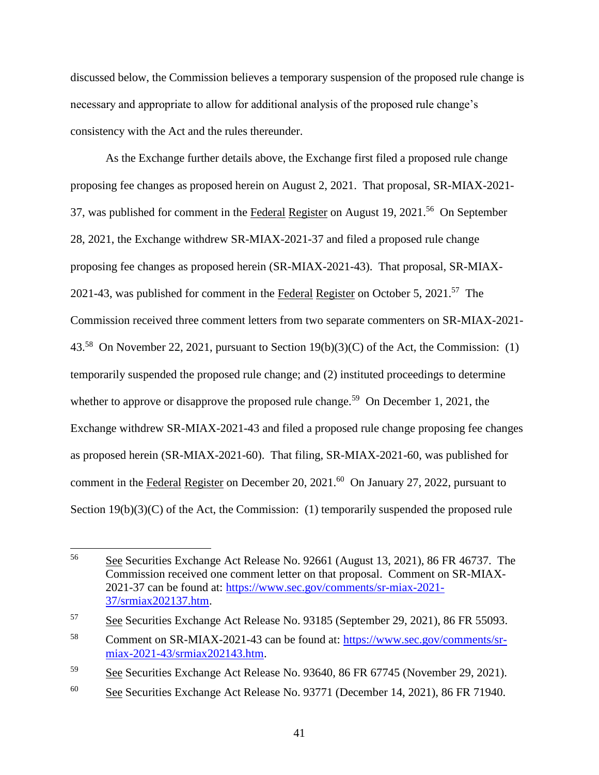discussed below, the Commission believes a temporary suspension of the proposed rule change is necessary and appropriate to allow for additional analysis of the proposed rule change's consistency with the Act and the rules thereunder.

As the Exchange further details above, the Exchange first filed a proposed rule change proposing fee changes as proposed herein on August 2, 2021. That proposal, SR-MIAX-2021- 37, was published for comment in the Federal Register on August 19, 2021.<sup>56</sup> On September 28, 2021, the Exchange withdrew SR-MIAX-2021-37 and filed a proposed rule change proposing fee changes as proposed herein (SR-MIAX-2021-43). That proposal, SR-MIAX-2021-43, was published for comment in the Federal Register on October 5, 2021.<sup>57</sup> The Commission received three comment letters from two separate commenters on SR-MIAX-2021- 43.<sup>58</sup> On November 22, 2021, pursuant to Section  $19(b)(3)(C)$  of the Act, the Commission: (1) temporarily suspended the proposed rule change; and (2) instituted proceedings to determine whether to approve or disapprove the proposed rule change.<sup>59</sup> On December 1, 2021, the Exchange withdrew SR-MIAX-2021-43 and filed a proposed rule change proposing fee changes as proposed herein (SR-MIAX-2021-60). That filing, SR-MIAX-2021-60, was published for comment in the Federal Register on December 20, 2021.<sup>60</sup> On January 27, 2022, pursuant to Section  $19(b)(3)(C)$  of the Act, the Commission: (1) temporarily suspended the proposed rule

<sup>56</sup> <sup>56</sup> See Securities Exchange Act Release No. 92661 (August 13, 2021), 86 FR 46737. The Commission received one comment letter on that proposal. Comment on SR-MIAX-2021-37 can be found at: [https://www.sec.gov/comments/sr-miax-2021-](https://www.sec.gov/comments/sr-miax-2021-37/srmiax202137.htm) [37/srmiax202137.htm.](https://www.sec.gov/comments/sr-miax-2021-37/srmiax202137.htm)

<sup>57</sup> See Securities Exchange Act Release No. 93185 (September 29, 2021), 86 FR 55093.

<sup>58</sup> Comment on SR-MIAX-2021-43 can be found at: [https://www.sec.gov/comments/sr](https://www.sec.gov/comments/sr-miax-2021-43/srmiax202143.htm)[miax-2021-43/srmiax202143.htm.](https://www.sec.gov/comments/sr-miax-2021-43/srmiax202143.htm)

<sup>&</sup>lt;sup>59</sup> See Securities Exchange Act Release No. 93640, 86 FR 67745 (November 29, 2021).

<sup>60</sup> See Securities Exchange Act Release No. 93771 (December 14, 2021), 86 FR 71940.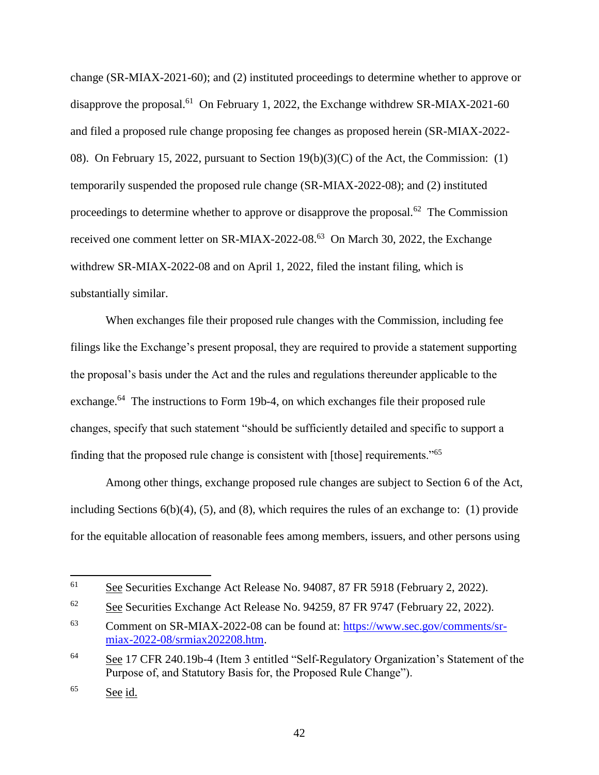change (SR-MIAX-2021-60); and (2) instituted proceedings to determine whether to approve or disapprove the proposal.<sup>61</sup> On February 1, 2022, the Exchange withdrew SR-MIAX-2021-60 and filed a proposed rule change proposing fee changes as proposed herein (SR-MIAX-2022- 08). On February 15, 2022, pursuant to Section 19(b)(3)(C) of the Act, the Commission: (1) temporarily suspended the proposed rule change (SR-MIAX-2022-08); and (2) instituted proceedings to determine whether to approve or disapprove the proposal.<sup>62</sup> The Commission received one comment letter on SR-MIAX-2022-08.<sup>63</sup> On March 30, 2022, the Exchange withdrew SR-MIAX-2022-08 and on April 1, 2022, filed the instant filing, which is substantially similar.

When exchanges file their proposed rule changes with the Commission, including fee filings like the Exchange's present proposal, they are required to provide a statement supporting the proposal's basis under the Act and the rules and regulations thereunder applicable to the exchange.<sup>64</sup> The instructions to Form 19b-4, on which exchanges file their proposed rule changes, specify that such statement "should be sufficiently detailed and specific to support a finding that the proposed rule change is consistent with [those] requirements."<sup>65</sup>

Among other things, exchange proposed rule changes are subject to Section 6 of the Act, including Sections  $6(b)(4)$ ,  $(5)$ , and  $(8)$ , which requires the rules of an exchange to:  $(1)$  provide for the equitable allocation of reasonable fees among members, issuers, and other persons using

 $\overline{a}$ 

<sup>61</sup> See Securities Exchange Act Release No. 94087, 87 FR 5918 (February 2, 2022).

 $62$  See Securities Exchange Act Release No. 94259, 87 FR 9747 (February 22, 2022).

<sup>63</sup> Comment on SR-MIAX-2022-08 can be found at: [https://www.sec.gov/comments/sr](https://www.sec.gov/comments/sr-miax-2022-08/srmiax202208.htm)[miax-2022-08/srmiax202208.htm.](https://www.sec.gov/comments/sr-miax-2022-08/srmiax202208.htm)

<sup>64</sup> See 17 CFR 240.19b-4 (Item 3 entitled "Self-Regulatory Organization's Statement of the Purpose of, and Statutory Basis for, the Proposed Rule Change").

<sup>65</sup> See id.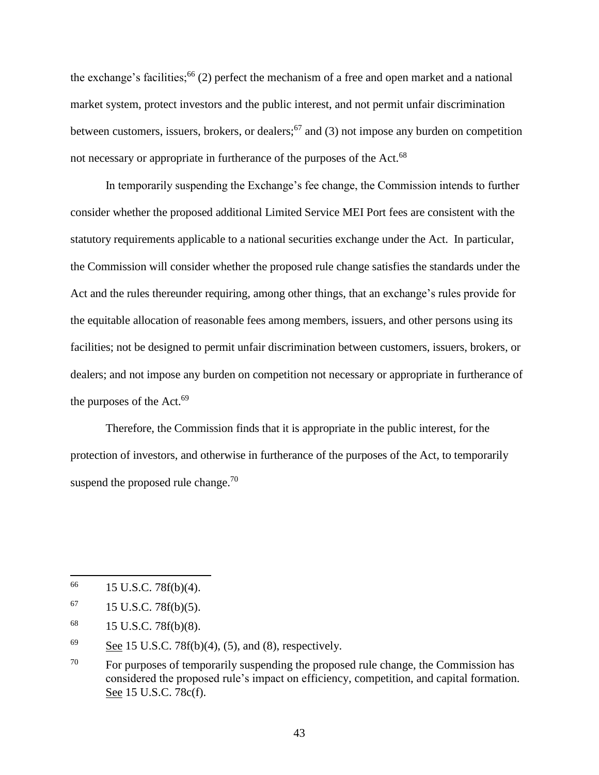the exchange's facilities;<sup>66</sup> (2) perfect the mechanism of a free and open market and a national market system, protect investors and the public interest, and not permit unfair discrimination between customers, issuers, brokers, or dealers;<sup>67</sup> and (3) not impose any burden on competition not necessary or appropriate in furtherance of the purposes of the Act.<sup>68</sup>

In temporarily suspending the Exchange's fee change, the Commission intends to further consider whether the proposed additional Limited Service MEI Port fees are consistent with the statutory requirements applicable to a national securities exchange under the Act. In particular, the Commission will consider whether the proposed rule change satisfies the standards under the Act and the rules thereunder requiring, among other things, that an exchange's rules provide for the equitable allocation of reasonable fees among members, issuers, and other persons using its facilities; not be designed to permit unfair discrimination between customers, issuers, brokers, or dealers; and not impose any burden on competition not necessary or appropriate in furtherance of the purposes of the Act.<sup>69</sup>

Therefore, the Commission finds that it is appropriate in the public interest, for the protection of investors, and otherwise in furtherance of the purposes of the Act, to temporarily suspend the proposed rule change. $70$ 

 $\overline{a}$ 

 $^{66}$  15 U.S.C. 78f(b)(4).

 $^{67}$  15 U.S.C. 78f(b)(5).

<sup>68</sup> 15 U.S.C. 78f(b)(8).

<sup>&</sup>lt;sup>69</sup> See 15 U.S.C. 78 $f(b)(4)$ , (5), and (8), respectively.

 $70$  For purposes of temporarily suspending the proposed rule change, the Commission has considered the proposed rule's impact on efficiency, competition, and capital formation. See 15 U.S.C. 78c(f).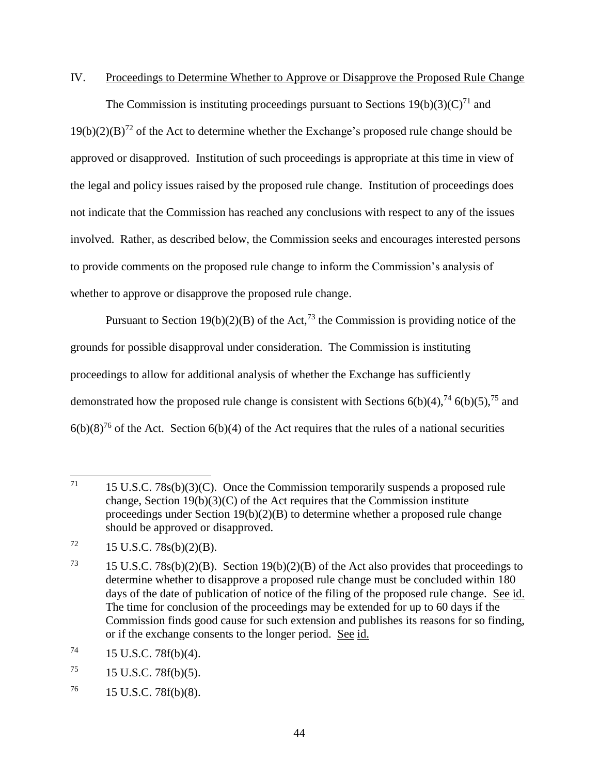### IV. Proceedings to Determine Whether to Approve or Disapprove the Proposed Rule Change

The Commission is instituting proceedings pursuant to Sections  $19(b)(3)(C)^{71}$  and  $19(b)(2)(B)^{72}$  of the Act to determine whether the Exchange's proposed rule change should be approved or disapproved. Institution of such proceedings is appropriate at this time in view of the legal and policy issues raised by the proposed rule change. Institution of proceedings does not indicate that the Commission has reached any conclusions with respect to any of the issues involved. Rather, as described below, the Commission seeks and encourages interested persons to provide comments on the proposed rule change to inform the Commission's analysis of whether to approve or disapprove the proposed rule change.

Pursuant to Section 19(b)(2)(B) of the Act,<sup>73</sup> the Commission is providing notice of the grounds for possible disapproval under consideration. The Commission is instituting proceedings to allow for additional analysis of whether the Exchange has sufficiently demonstrated how the proposed rule change is consistent with Sections  $6(b)(4)$ ,  $^{74}$   $6(b)(5)$ ,  $^{75}$  and  $6(b)(8)^{76}$  of the Act. Section  $6(b)(4)$  of the Act requires that the rules of a national securities

<sup>71</sup>  $15 \text{ U.S.C. } 78 \text{s(b)}(3)(\text{C})$ . Once the Commission temporarily suspends a proposed rule change, Section  $19(b)(3)(C)$  of the Act requires that the Commission institute proceedings under Section 19(b)(2)(B) to determine whether a proposed rule change should be approved or disapproved.

 $72 \qquad 15 \text{ U.S.C. } 78\text{s(b)}(2)(\text{B}).$ 

<sup>&</sup>lt;sup>73</sup> 15 U.S.C. 78s(b)(2)(B). Section 19(b)(2)(B) of the Act also provides that proceedings to determine whether to disapprove a proposed rule change must be concluded within 180 days of the date of publication of notice of the filing of the proposed rule change. See id. The time for conclusion of the proceedings may be extended for up to 60 days if the Commission finds good cause for such extension and publishes its reasons for so finding, or if the exchange consents to the longer period. See id.

 $^{74}$  15 U.S.C. 78f(b)(4).

 $^{75}$  15 U.S.C. 78f(b)(5).

 $^{76}$  15 U.S.C. 78f(b)(8).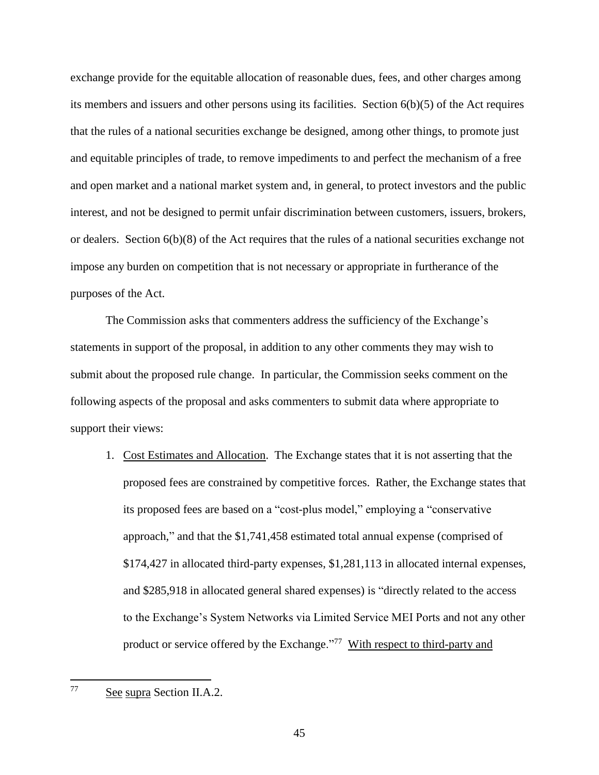exchange provide for the equitable allocation of reasonable dues, fees, and other charges among its members and issuers and other persons using its facilities. Section 6(b)(5) of the Act requires that the rules of a national securities exchange be designed, among other things, to promote just and equitable principles of trade, to remove impediments to and perfect the mechanism of a free and open market and a national market system and, in general, to protect investors and the public interest, and not be designed to permit unfair discrimination between customers, issuers, brokers, or dealers. Section 6(b)(8) of the Act requires that the rules of a national securities exchange not impose any burden on competition that is not necessary or appropriate in furtherance of the purposes of the Act.

The Commission asks that commenters address the sufficiency of the Exchange's statements in support of the proposal, in addition to any other comments they may wish to submit about the proposed rule change. In particular, the Commission seeks comment on the following aspects of the proposal and asks commenters to submit data where appropriate to support their views:

1. Cost Estimates and Allocation. The Exchange states that it is not asserting that the proposed fees are constrained by competitive forces. Rather, the Exchange states that its proposed fees are based on a "cost-plus model," employing a "conservative approach," and that the \$1,741,458 estimated total annual expense (comprised of \$174,427 in allocated third-party expenses, \$1,281,113 in allocated internal expenses, and \$285,918 in allocated general shared expenses) is "directly related to the access to the Exchange's System Networks via Limited Service MEI Ports and not any other product or service offered by the Exchange."<sup>77</sup> With respect to third-party and

<sup>77</sup> See supra Section II.A.2.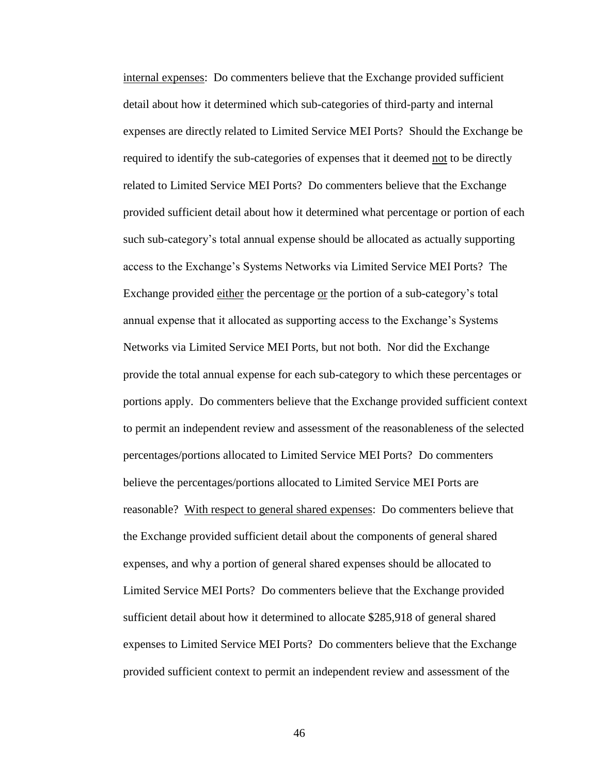internal expenses: Do commenters believe that the Exchange provided sufficient detail about how it determined which sub-categories of third-party and internal expenses are directly related to Limited Service MEI Ports? Should the Exchange be required to identify the sub-categories of expenses that it deemed not to be directly related to Limited Service MEI Ports? Do commenters believe that the Exchange provided sufficient detail about how it determined what percentage or portion of each such sub-category's total annual expense should be allocated as actually supporting access to the Exchange's Systems Networks via Limited Service MEI Ports? The Exchange provided either the percentage or the portion of a sub-category's total annual expense that it allocated as supporting access to the Exchange's Systems Networks via Limited Service MEI Ports, but not both. Nor did the Exchange provide the total annual expense for each sub-category to which these percentages or portions apply. Do commenters believe that the Exchange provided sufficient context to permit an independent review and assessment of the reasonableness of the selected percentages/portions allocated to Limited Service MEI Ports? Do commenters believe the percentages/portions allocated to Limited Service MEI Ports are reasonable? With respect to general shared expenses: Do commenters believe that the Exchange provided sufficient detail about the components of general shared expenses, and why a portion of general shared expenses should be allocated to Limited Service MEI Ports? Do commenters believe that the Exchange provided sufficient detail about how it determined to allocate \$285,918 of general shared expenses to Limited Service MEI Ports? Do commenters believe that the Exchange provided sufficient context to permit an independent review and assessment of the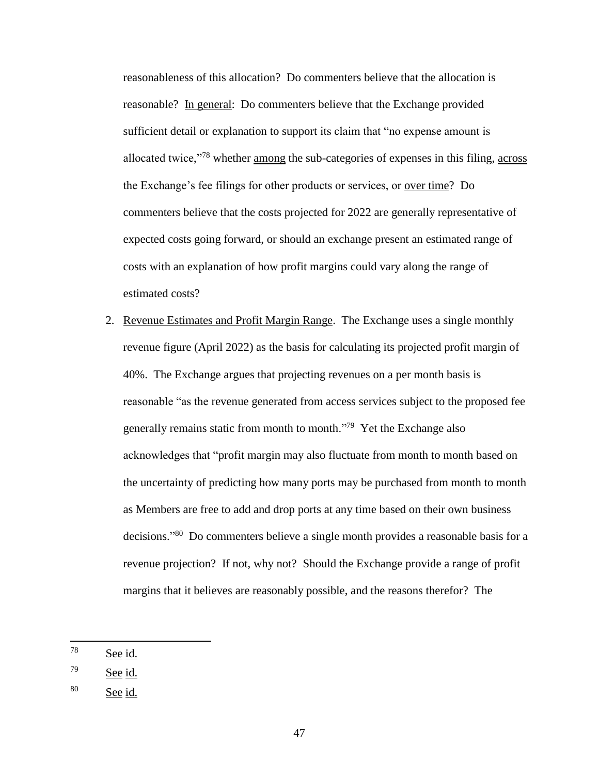reasonableness of this allocation? Do commenters believe that the allocation is reasonable? In general: Do commenters believe that the Exchange provided sufficient detail or explanation to support its claim that "no expense amount is allocated twice,<sup>778</sup> whether among the sub-categories of expenses in this filing, across the Exchange's fee filings for other products or services, or over time? Do commenters believe that the costs projected for 2022 are generally representative of expected costs going forward, or should an exchange present an estimated range of costs with an explanation of how profit margins could vary along the range of estimated costs?

2. Revenue Estimates and Profit Margin Range. The Exchange uses a single monthly revenue figure (April 2022) as the basis for calculating its projected profit margin of 40%. The Exchange argues that projecting revenues on a per month basis is reasonable "as the revenue generated from access services subject to the proposed fee generally remains static from month to month."<sup>79</sup> Yet the Exchange also acknowledges that "profit margin may also fluctuate from month to month based on the uncertainty of predicting how many ports may be purchased from month to month as Members are free to add and drop ports at any time based on their own business decisions."<sup>80</sup> Do commenters believe a single month provides a reasonable basis for a revenue projection? If not, why not? Should the Exchange provide a range of profit margins that it believes are reasonably possible, and the reasons therefor? The

<sup>78</sup> See id.

 $79$  See id.

<sup>80</sup> See id.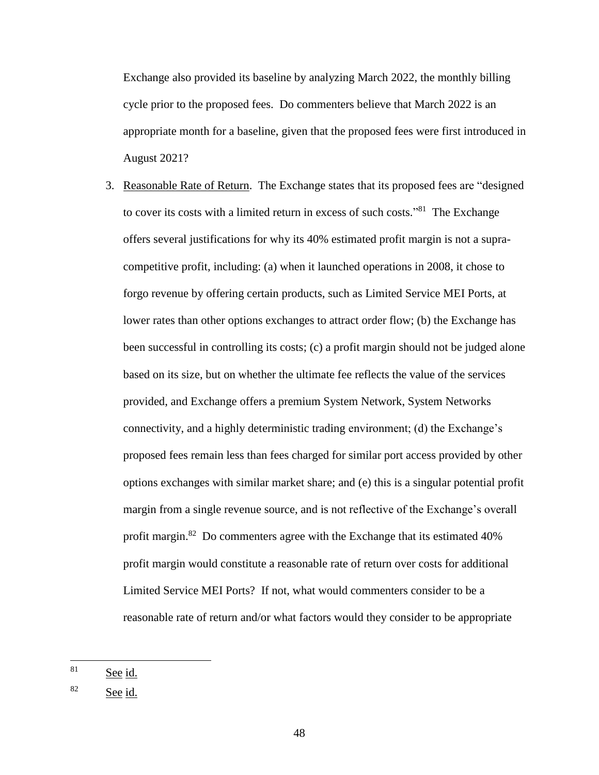Exchange also provided its baseline by analyzing March 2022, the monthly billing cycle prior to the proposed fees. Do commenters believe that March 2022 is an appropriate month for a baseline, given that the proposed fees were first introduced in August 2021?

3. Reasonable Rate of Return. The Exchange states that its proposed fees are "designed to cover its costs with a limited return in excess of such costs."<sup>81</sup> The Exchange offers several justifications for why its 40% estimated profit margin is not a supracompetitive profit, including: (a) when it launched operations in 2008, it chose to forgo revenue by offering certain products, such as Limited Service MEI Ports, at lower rates than other options exchanges to attract order flow; (b) the Exchange has been successful in controlling its costs; (c) a profit margin should not be judged alone based on its size, but on whether the ultimate fee reflects the value of the services provided, and Exchange offers a premium System Network, System Networks connectivity, and a highly deterministic trading environment; (d) the Exchange's proposed fees remain less than fees charged for similar port access provided by other options exchanges with similar market share; and (e) this is a singular potential profit margin from a single revenue source, and is not reflective of the Exchange's overall profit margin.<sup>82</sup> Do commenters agree with the Exchange that its estimated 40% profit margin would constitute a reasonable rate of return over costs for additional Limited Service MEI Ports? If not, what would commenters consider to be a reasonable rate of return and/or what factors would they consider to be appropriate

<sup>81</sup> See id.

<sup>82</sup> See id.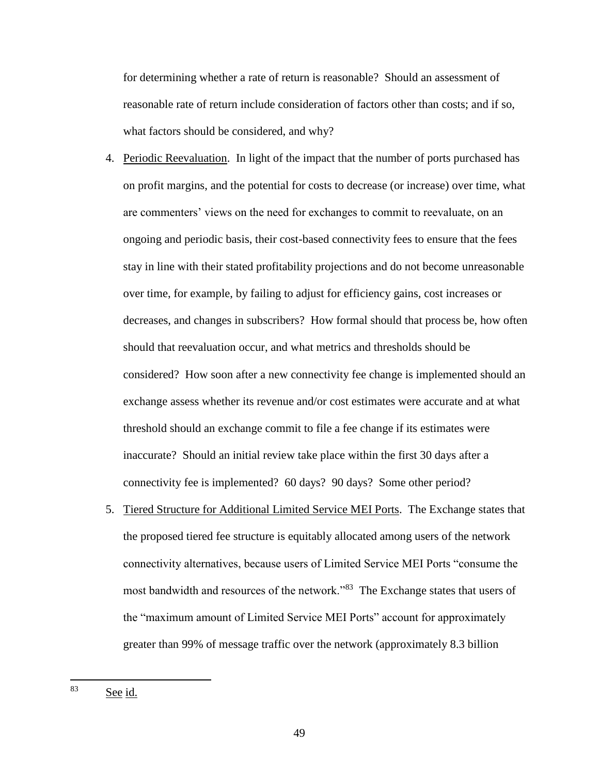for determining whether a rate of return is reasonable? Should an assessment of reasonable rate of return include consideration of factors other than costs; and if so, what factors should be considered, and why?

- 4. Periodic Reevaluation. In light of the impact that the number of ports purchased has on profit margins, and the potential for costs to decrease (or increase) over time, what are commenters' views on the need for exchanges to commit to reevaluate, on an ongoing and periodic basis, their cost-based connectivity fees to ensure that the fees stay in line with their stated profitability projections and do not become unreasonable over time, for example, by failing to adjust for efficiency gains, cost increases or decreases, and changes in subscribers? How formal should that process be, how often should that reevaluation occur, and what metrics and thresholds should be considered? How soon after a new connectivity fee change is implemented should an exchange assess whether its revenue and/or cost estimates were accurate and at what threshold should an exchange commit to file a fee change if its estimates were inaccurate? Should an initial review take place within the first 30 days after a connectivity fee is implemented? 60 days? 90 days? Some other period?
- 5. Tiered Structure for Additional Limited Service MEI Ports. The Exchange states that the proposed tiered fee structure is equitably allocated among users of the network connectivity alternatives, because users of Limited Service MEI Ports "consume the most bandwidth and resources of the network."<sup>83</sup> The Exchange states that users of the "maximum amount of Limited Service MEI Ports" account for approximately greater than 99% of message traffic over the network (approximately 8.3 billion

<sup>83</sup> See id.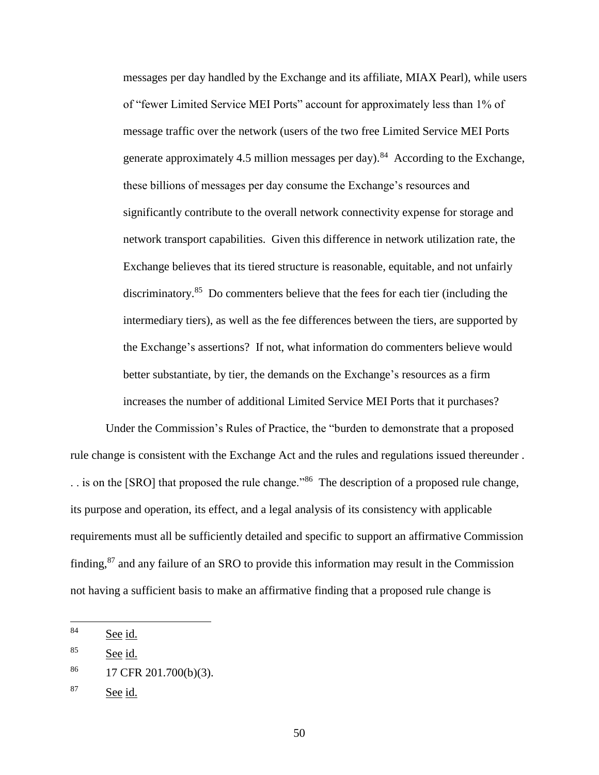messages per day handled by the Exchange and its affiliate, MIAX Pearl), while users of "fewer Limited Service MEI Ports" account for approximately less than 1% of message traffic over the network (users of the two free Limited Service MEI Ports generate approximately 4.5 million messages per day).<sup>84</sup> According to the Exchange, these billions of messages per day consume the Exchange's resources and significantly contribute to the overall network connectivity expense for storage and network transport capabilities. Given this difference in network utilization rate, the Exchange believes that its tiered structure is reasonable, equitable, and not unfairly discriminatory.<sup>85</sup> Do commenters believe that the fees for each tier (including the intermediary tiers), as well as the fee differences between the tiers, are supported by the Exchange's assertions? If not, what information do commenters believe would better substantiate, by tier, the demands on the Exchange's resources as a firm increases the number of additional Limited Service MEI Ports that it purchases?

Under the Commission's Rules of Practice, the "burden to demonstrate that a proposed rule change is consistent with the Exchange Act and the rules and regulations issued thereunder . . is on the [SRO] that proposed the rule change."<sup>86</sup> The description of a proposed rule change, its purpose and operation, its effect, and a legal analysis of its consistency with applicable requirements must all be sufficiently detailed and specific to support an affirmative Commission finding,<sup>87</sup> and any failure of an SRO to provide this information may result in the Commission not having a sufficient basis to make an affirmative finding that a proposed rule change is

<sup>84</sup> See id.

<sup>85</sup> See id.

 $^{86}$  17 CFR 201.700(b)(3).

 $87$  See id.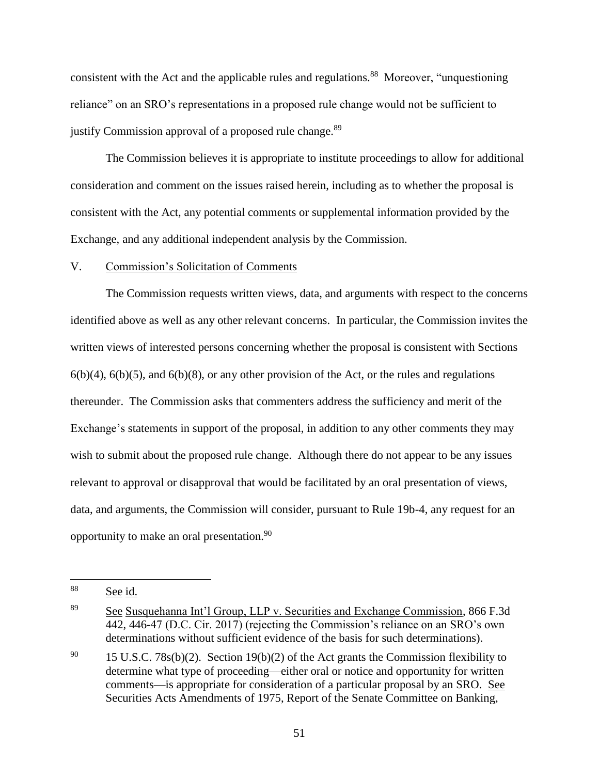consistent with the Act and the applicable rules and regulations.<sup>88</sup> Moreover, "unquestioning reliance" on an SRO's representations in a proposed rule change would not be sufficient to justify Commission approval of a proposed rule change.<sup>89</sup>

The Commission believes it is appropriate to institute proceedings to allow for additional consideration and comment on the issues raised herein, including as to whether the proposal is consistent with the Act, any potential comments or supplemental information provided by the Exchange, and any additional independent analysis by the Commission.

#### V. Commission's Solicitation of Comments

The Commission requests written views, data, and arguments with respect to the concerns identified above as well as any other relevant concerns. In particular, the Commission invites the written views of interested persons concerning whether the proposal is consistent with Sections  $6(b)(4)$ ,  $6(b)(5)$ , and  $6(b)(8)$ , or any other provision of the Act, or the rules and regulations thereunder. The Commission asks that commenters address the sufficiency and merit of the Exchange's statements in support of the proposal, in addition to any other comments they may wish to submit about the proposed rule change. Although there do not appear to be any issues relevant to approval or disapproval that would be facilitated by an oral presentation of views, data, and arguments, the Commission will consider, pursuant to Rule 19b-4, any request for an opportunity to make an oral presentation.<sup>90</sup>

<sup>88</sup> See id.

<sup>89</sup> See Susquehanna Int'l Group, LLP v. Securities and Exchange Commission, 866 F.3d 442, 446-47 (D.C. Cir. 2017) (rejecting the Commission's reliance on an SRO's own determinations without sufficient evidence of the basis for such determinations).

<sup>&</sup>lt;sup>90</sup> 15 U.S.C. 78s(b)(2). Section 19(b)(2) of the Act grants the Commission flexibility to determine what type of proceeding—either oral or notice and opportunity for written comments—is appropriate for consideration of a particular proposal by an SRO. See Securities Acts Amendments of 1975, Report of the Senate Committee on Banking,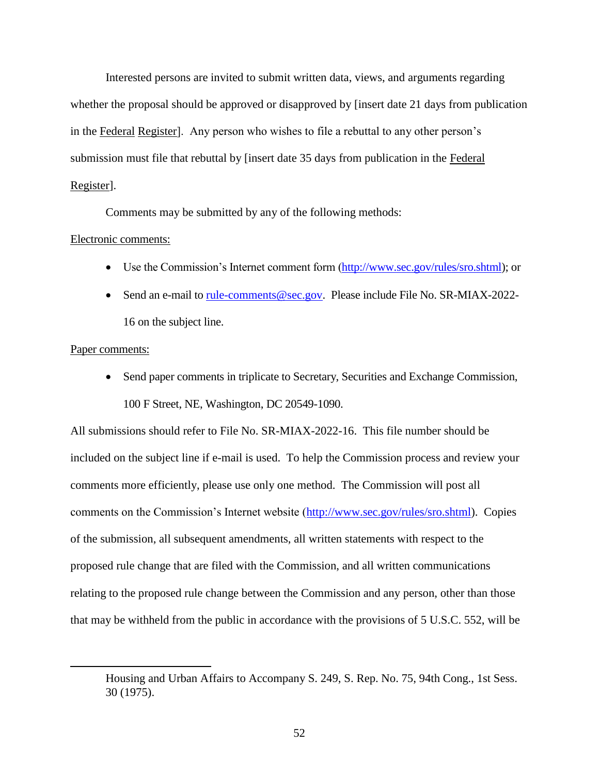Interested persons are invited to submit written data, views, and arguments regarding whether the proposal should be approved or disapproved by [insert date 21 days from publication in the Federal Register]. Any person who wishes to file a rebuttal to any other person's submission must file that rebuttal by [insert date 35 days from publication in the Federal Register].

Comments may be submitted by any of the following methods:

## Electronic comments:

- Use the Commission's Internet comment form [\(http://www.sec.gov/rules/sro.shtml\)](http://www.sec.gov/rules/sro.shtml); or
- Send an e-mail to [rule-comments@sec.gov.](mailto:rule-comments@sec.gov) Please include File No. SR-MIAX-2022-16 on the subject line.

### Paper comments:

 $\overline{a}$ 

 Send paper comments in triplicate to Secretary, Securities and Exchange Commission, 100 F Street, NE, Washington, DC 20549-1090.

All submissions should refer to File No. SR-MIAX-2022-16. This file number should be included on the subject line if e-mail is used. To help the Commission process and review your comments more efficiently, please use only one method. The Commission will post all comments on the Commission's Internet website [\(http://www.sec.gov/rules/sro.shtml\)](http://www.sec.gov/rules/sro.shtml). Copies of the submission, all subsequent amendments, all written statements with respect to the proposed rule change that are filed with the Commission, and all written communications relating to the proposed rule change between the Commission and any person, other than those that may be withheld from the public in accordance with the provisions of 5 U.S.C. 552, will be

Housing and Urban Affairs to Accompany S. 249, S. Rep. No. 75, 94th Cong., 1st Sess. 30 (1975).